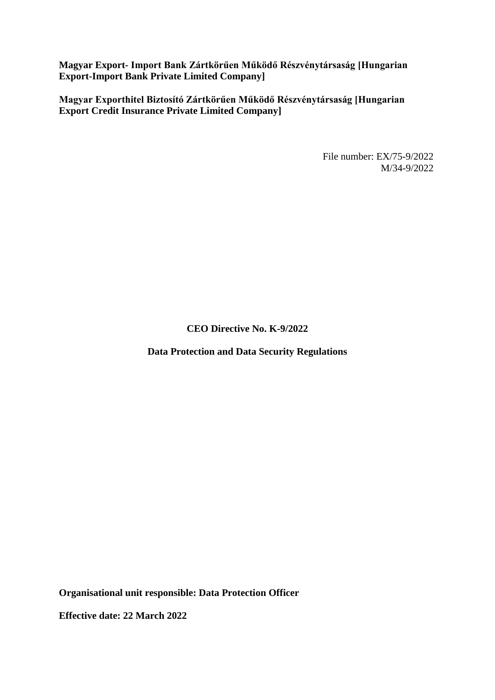**Magyar Export- Import Bank Zártkörűen Működő Részvénytársaság [Hungarian Export-Import Bank Private Limited Company]**

**Magyar Exporthitel Biztosító Zártkörűen Működő Részvénytársaság [Hungarian Export Credit Insurance Private Limited Company]** 

> File number: EX/75-9/2022 M/34-9/2022

**CEO Directive No. K-9/2022**

**Data Protection and Data Security Regulations**

**Organisational unit responsible: Data Protection Officer**

**Effective date: 22 March 2022**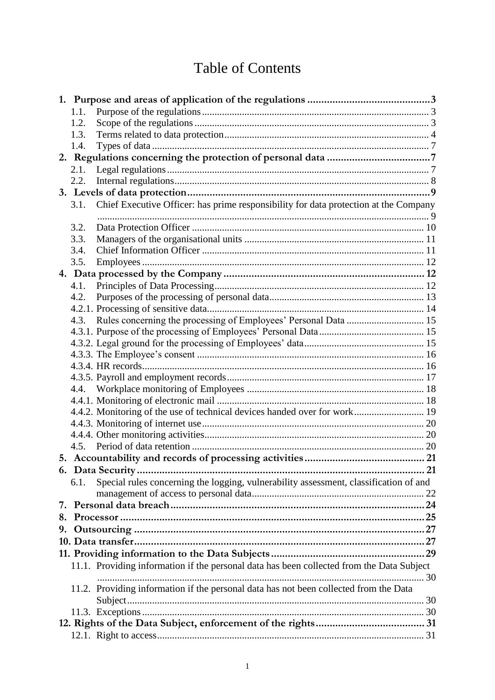# **Table of Contents**

|    | 1.1. |                                                                                           |  |
|----|------|-------------------------------------------------------------------------------------------|--|
|    | 1.2. |                                                                                           |  |
|    | 1.3. |                                                                                           |  |
|    | 1.4. |                                                                                           |  |
|    |      |                                                                                           |  |
|    | 2.1. |                                                                                           |  |
|    | 2.2. |                                                                                           |  |
|    |      |                                                                                           |  |
|    | 3.1. | Chief Executive Officer: has prime responsibility for data protection at the Company      |  |
|    |      |                                                                                           |  |
|    | 3.2. |                                                                                           |  |
|    | 3.3. |                                                                                           |  |
|    | 3.4. |                                                                                           |  |
|    | 3.5. |                                                                                           |  |
|    |      |                                                                                           |  |
|    | 4.1. |                                                                                           |  |
|    |      |                                                                                           |  |
|    | 4.3. | Rules concerning the processing of Employees' Personal Data  15                           |  |
|    |      |                                                                                           |  |
|    |      |                                                                                           |  |
|    |      |                                                                                           |  |
|    |      |                                                                                           |  |
|    |      |                                                                                           |  |
|    |      |                                                                                           |  |
|    |      |                                                                                           |  |
|    |      | 4.4.2. Monitoring of the use of technical devices handed over for work 19                 |  |
|    |      |                                                                                           |  |
|    |      |                                                                                           |  |
|    |      |                                                                                           |  |
|    |      |                                                                                           |  |
|    |      |                                                                                           |  |
|    | 6.1. | Special rules concerning the logging, vulnerability assessment, classification of and     |  |
|    |      |                                                                                           |  |
|    |      |                                                                                           |  |
| 8. |      |                                                                                           |  |
| 9. |      |                                                                                           |  |
|    |      |                                                                                           |  |
|    |      |                                                                                           |  |
|    |      | 11.1. Providing information if the personal data has been collected from the Data Subject |  |
|    |      |                                                                                           |  |
|    |      | 11.2. Providing information if the personal data has not been collected from the Data     |  |
|    |      |                                                                                           |  |
|    |      |                                                                                           |  |
|    |      |                                                                                           |  |
|    |      |                                                                                           |  |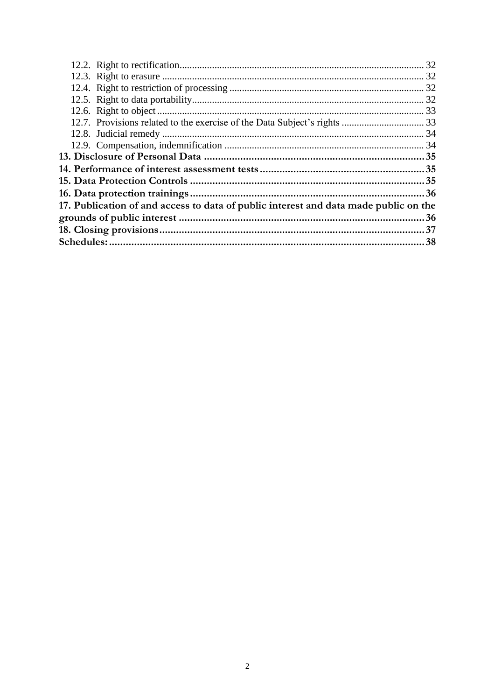| 17. Publication of and access to data of public interest and data made public on the |  |  |  |  |  |
|--------------------------------------------------------------------------------------|--|--|--|--|--|
|                                                                                      |  |  |  |  |  |
|                                                                                      |  |  |  |  |  |
|                                                                                      |  |  |  |  |  |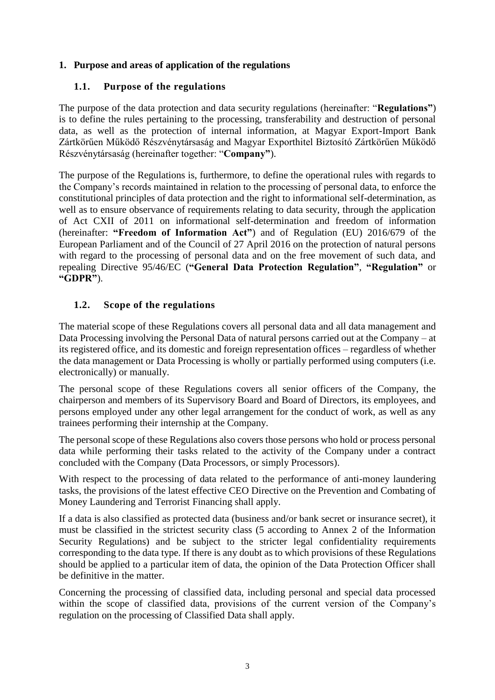## <span id="page-3-0"></span>**1. Purpose and areas of application of the regulations**

## <span id="page-3-1"></span>**1.1. Purpose of the regulations**

The purpose of the data protection and data security regulations (hereinafter: "**Regulations"**) is to define the rules pertaining to the processing, transferability and destruction of personal data, as well as the protection of internal information, at Magyar Export-Import Bank Zártkörűen Működő Részvénytársaság and Magyar Exporthitel Biztosító Zártkörűen Működő Részvénytársaság (hereinafter together: "**Company"**).

The purpose of the Regulations is, furthermore, to define the operational rules with regards to the Company's records maintained in relation to the processing of personal data, to enforce the constitutional principles of data protection and the right to informational self-determination, as well as to ensure observance of requirements relating to data security, through the application of Act CXII of 2011 on informational self-determination and freedom of information (hereinafter: **"Freedom of Information Act"**) and of Regulation (EU) 2016/679 of the European Parliament and of the Council of 27 April 2016 on the protection of natural persons with regard to the processing of personal data and on the free movement of such data, and repealing Directive 95/46/EC (**"General Data Protection Regulation"**, **"Regulation"** or **"GDPR"**).

## <span id="page-3-2"></span>**1.2. Scope of the regulations**

The material scope of these Regulations covers all personal data and all data management and Data Processing involving the Personal Data of natural persons carried out at the Company – at its registered office, and its domestic and foreign representation offices – regardless of whether the data management or Data Processing is wholly or partially performed using computers (i.e. electronically) or manually.

The personal scope of these Regulations covers all senior officers of the Company, the chairperson and members of its Supervisory Board and Board of Directors, its employees, and persons employed under any other legal arrangement for the conduct of work, as well as any trainees performing their internship at the Company.

The personal scope of these Regulations also covers those persons who hold or process personal data while performing their tasks related to the activity of the Company under a contract concluded with the Company (Data Processors, or simply Processors).

With respect to the processing of data related to the performance of anti-money laundering tasks, the provisions of the latest effective CEO Directive on the Prevention and Combating of Money Laundering and Terrorist Financing shall apply.

If a data is also classified as protected data (business and/or bank secret or insurance secret), it must be classified in the strictest security class (5 according to Annex 2 of the Information Security Regulations) and be subject to the stricter legal confidentiality requirements corresponding to the data type. If there is any doubt as to which provisions of these Regulations should be applied to a particular item of data, the opinion of the Data Protection Officer shall be definitive in the matter.

Concerning the processing of classified data, including personal and special data processed within the scope of classified data, provisions of the current version of the Company's regulation on the processing of Classified Data shall apply.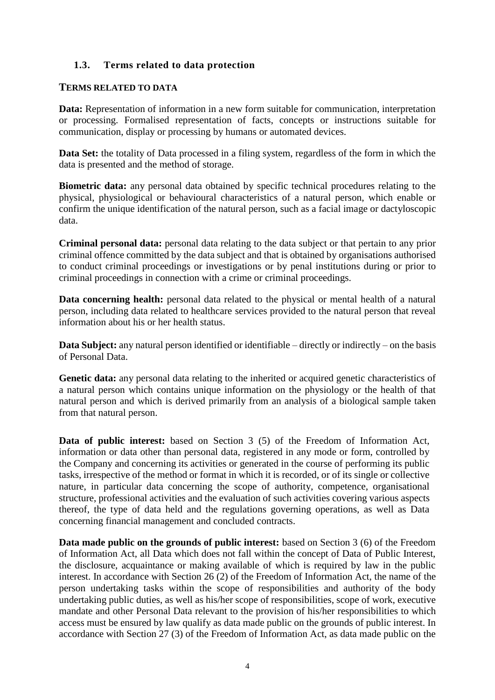## <span id="page-4-0"></span>**1.3. Terms related to data protection**

#### **TERMS RELATED TO DATA**

**Data:** Representation of information in a new form suitable for communication, interpretation or processing. Formalised representation of facts, concepts or instructions suitable for communication, display or processing by humans or automated devices.

**Data Set:** the totality of Data processed in a filing system, regardless of the form in which the data is presented and the method of storage.

**Biometric data:** any personal data obtained by specific technical procedures relating to the physical, physiological or behavioural characteristics of a natural person, which enable or confirm the unique identification of the natural person, such as a facial image or dactyloscopic data.

**Criminal personal data:** personal data relating to the data subject or that pertain to any prior criminal offence committed by the data subject and that is obtained by organisations authorised to conduct criminal proceedings or investigations or by penal institutions during or prior to criminal proceedings in connection with a crime or criminal proceedings.

**Data concerning health:** personal data related to the physical or mental health of a natural person, including data related to healthcare services provided to the natural person that reveal information about his or her health status.

**Data Subject:** any natural person identified or identifiable – directly or indirectly – on the basis of Personal Data.

**Genetic data:** any personal data relating to the inherited or acquired genetic characteristics of a natural person which contains unique information on the physiology or the health of that natural person and which is derived primarily from an analysis of a biological sample taken from that natural person.

**Data of public interest:** based on Section 3 (5) of the Freedom of Information Act, information or data other than personal data, registered in any mode or form, controlled by the Company and concerning its activities or generated in the course of performing its public tasks, irrespective of the method or format in which it is recorded, or of its single or collective nature, in particular data concerning the scope of authority, competence, organisational structure, professional activities and the evaluation of such activities covering various aspects thereof, the type of data held and the regulations governing operations, as well as Data concerning financial management and concluded contracts.

**Data made public on the grounds of public interest:** based on Section 3 (6) of the Freedom of Information Act, all Data which does not fall within the concept of Data of Public Interest, the disclosure, acquaintance or making available of which is required by law in the public interest. In accordance with Section 26 (2) of the Freedom of Information Act, the name of the person undertaking tasks within the scope of responsibilities and authority of the body undertaking public duties, as well as his/her scope of responsibilities, scope of work, executive mandate and other Personal Data relevant to the provision of his/her responsibilities to which access must be ensured by law qualify as data made public on the grounds of public interest. In accordance with Section 27 (3) of the Freedom of Information Act, as data made public on the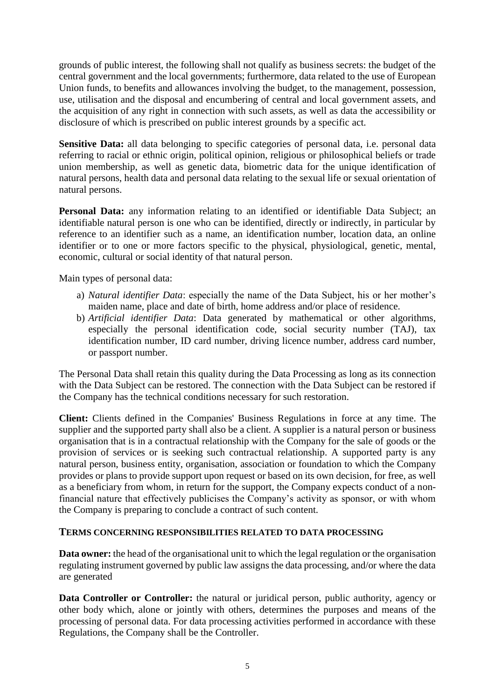grounds of public interest, the following shall not qualify as business secrets: the budget of the central government and the local governments; furthermore, data related to the use of European Union funds, to benefits and allowances involving the budget, to the management, possession, use, utilisation and the disposal and encumbering of central and local government assets, and the acquisition of any right in connection with such assets, as well as data the accessibility or disclosure of which is prescribed on public interest grounds by a specific act.

**Sensitive Data:** all data belonging to specific categories of personal data, i.e. personal data referring to racial or ethnic origin, political opinion, religious or philosophical beliefs or trade union membership, as well as genetic data, biometric data for the unique identification of natural persons, health data and personal data relating to the sexual life or sexual orientation of natural persons.

**Personal Data:** any information relating to an identified or identifiable Data Subject; an identifiable natural person is one who can be identified, directly or indirectly, in particular by reference to an identifier such as a name, an identification number, location data, an online identifier or to one or more factors specific to the physical, physiological, genetic, mental, economic, cultural or social identity of that natural person.

Main types of personal data:

- a) *Natural identifier Data*: especially the name of the Data Subject, his or her mother's maiden name, place and date of birth, home address and/or place of residence.
- b) *Artificial identifier Data*: Data generated by mathematical or other algorithms, especially the personal identification code, social security number (TAJ), tax identification number, ID card number, driving licence number, address card number, or passport number.

The Personal Data shall retain this quality during the Data Processing as long as its connection with the Data Subject can be restored. The connection with the Data Subject can be restored if the Company has the technical conditions necessary for such restoration.

**Client:** Clients defined in the Companies' Business Regulations in force at any time. The supplier and the supported party shall also be a client. A supplier is a natural person or business organisation that is in a contractual relationship with the Company for the sale of goods or the provision of services or is seeking such contractual relationship. A supported party is any natural person, business entity, organisation, association or foundation to which the Company provides or plans to provide support upon request or based on its own decision, for free, as well as a beneficiary from whom, in return for the support, the Company expects conduct of a nonfinancial nature that effectively publicises the Company's activity as sponsor, or with whom the Company is preparing to conclude a contract of such content.

#### **TERMS CONCERNING RESPONSIBILITIES RELATED TO DATA PROCESSING**

**Data owner:** the head of the organisational unit to which the legal regulation or the organisation regulating instrument governed by public law assigns the data processing, and/or where the data are generated

**Data Controller or Controller:** the natural or juridical person, public authority, agency or other body which, alone or jointly with others, determines the purposes and means of the processing of personal data. For data processing activities performed in accordance with these Regulations, the Company shall be the Controller.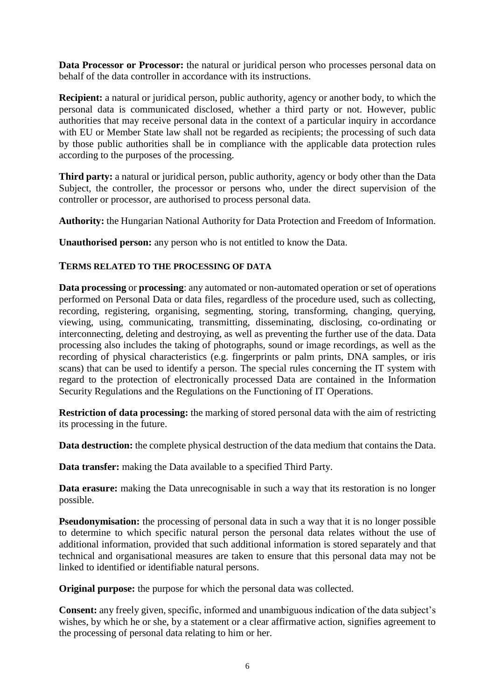**Data Processor or Processor:** the natural or juridical person who processes personal data on behalf of the data controller in accordance with its instructions.

**Recipient:** a natural or juridical person, public authority, agency or another body, to which the personal data is communicated disclosed, whether a third party or not. However, public authorities that may receive personal data in the context of a particular inquiry in accordance with EU or Member State law shall not be regarded as recipients; the processing of such data by those public authorities shall be in compliance with the applicable data protection rules according to the purposes of the processing.

**Third party:** a natural or juridical person, public authority, agency or body other than the Data Subject, the controller, the processor or persons who, under the direct supervision of the controller or processor, are authorised to process personal data.

**Authority:** the Hungarian National Authority for Data Protection and Freedom of Information.

**Unauthorised person:** any person who is not entitled to know the Data.

#### **TERMS RELATED TO THE PROCESSING OF DATA**

**Data processing** or **processing**: any automated or non-automated operation or set of operations performed on Personal Data or data files, regardless of the procedure used, such as collecting, recording, registering, organising, segmenting, storing, transforming, changing, querying, viewing, using, communicating, transmitting, disseminating, disclosing, co-ordinating or interconnecting, deleting and destroying, as well as preventing the further use of the data. Data processing also includes the taking of photographs, sound or image recordings, as well as the recording of physical characteristics (e.g. fingerprints or palm prints, DNA samples, or iris scans) that can be used to identify a person. The special rules concerning the IT system with regard to the protection of electronically processed Data are contained in the Information Security Regulations and the Regulations on the Functioning of IT Operations.

**Restriction of data processing:** the marking of stored personal data with the aim of restricting its processing in the future.

**Data destruction:** the complete physical destruction of the data medium that contains the Data.

**Data transfer:** making the Data available to a specified Third Party.

**Data erasure:** making the Data unrecognisable in such a way that its restoration is no longer possible.

**Pseudonymisation:** the processing of personal data in such a way that it is no longer possible to determine to which specific natural person the personal data relates without the use of additional information, provided that such additional information is stored separately and that technical and organisational measures are taken to ensure that this personal data may not be linked to identified or identifiable natural persons.

**Original purpose:** the purpose for which the personal data was collected.

**Consent:** any freely given, specific, informed and unambiguous indication of the data subject's wishes, by which he or she, by a statement or a clear affirmative action, signifies agreement to the processing of personal data relating to him or her.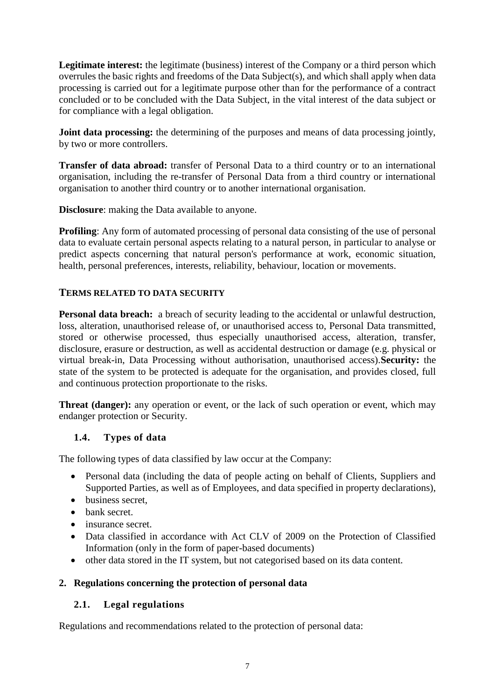**Legitimate interest:** the legitimate (business) interest of the Company or a third person which overrules the basic rights and freedoms of the Data Subject(s), and which shall apply when data processing is carried out for a legitimate purpose other than for the performance of a contract concluded or to be concluded with the Data Subject, in the vital interest of the data subject or for compliance with a legal obligation.

**Joint data processing:** the determining of the purposes and means of data processing jointly, by two or more controllers.

**Transfer of data abroad:** transfer of Personal Data to a third country or to an international organisation, including the re-transfer of Personal Data from a third country or international organisation to another third country or to another international organisation.

**Disclosure**: making the Data available to anyone.

**Profiling:** Any form of automated processing of personal data consisting of the use of personal data to evaluate certain personal aspects relating to a natural person, in particular to analyse or predict aspects concerning that natural person's performance at work, economic situation, health, personal preferences, interests, reliability, behaviour, location or movements.

#### **TERMS RELATED TO DATA SECURITY**

**Personal data breach:** a breach of security leading to the accidental or unlawful destruction, loss, alteration, unauthorised release of, or unauthorised access to, Personal Data transmitted, stored or otherwise processed, thus especially unauthorised access, alteration, transfer, disclosure, erasure or destruction, as well as accidental destruction or damage (e.g. physical or virtual break-in, Data Processing without authorisation, unauthorised access).**Security:** the state of the system to be protected is adequate for the organisation, and provides closed, full and continuous protection proportionate to the risks.

**Threat (danger):** any operation or event, or the lack of such operation or event, which may endanger protection or Security.

#### <span id="page-7-0"></span>**1.4. Types of data**

The following types of data classified by law occur at the Company:

- Personal data (including the data of people acting on behalf of Clients, Suppliers and Supported Parties, as well as of Employees, and data specified in property declarations),
- business secret.
- bank secret.
- insurance secret.
- Data classified in accordance with Act CLV of 2009 on the Protection of Classified Information (only in the form of paper-based documents)
- other data stored in the IT system, but not categorised based on its data content.

#### <span id="page-7-1"></span>**2. Regulations concerning the protection of personal data**

#### <span id="page-7-2"></span>**2.1. Legal regulations**

Regulations and recommendations related to the protection of personal data: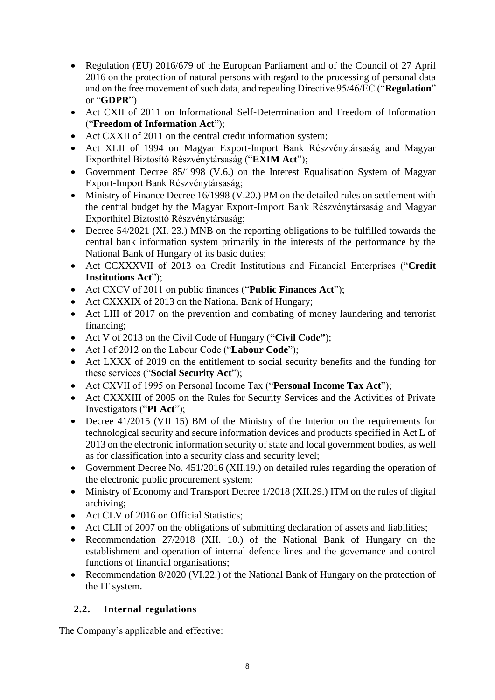- Regulation (EU) 2016/679 of the European Parliament and of the Council of 27 April 2016 on the protection of natural persons with regard to the processing of personal data and on the free movement of such data, and repealing Directive 95/46/EC ("**Regulation**" or "**GDPR**")
- Act CXII of 2011 on Informational Self-Determination and Freedom of Information ("**Freedom of Information Act**");
- Act CXXII of 2011 on the central credit information system;
- Act XLII of 1994 on Magyar Export-Import Bank Részvénytársaság and Magyar Exporthitel Biztosító Részvénytársaság ("**EXIM Act**");
- Government Decree 85/1998 (V.6.) on the Interest Equalisation System of Magyar Export-Import Bank Részvénytársaság;
- Ministry of Finance Decree 16/1998 (V.20.) PM on the detailed rules on settlement with the central budget by the Magyar Export-Import Bank Részvénytársaság and Magyar Exporthitel Biztosító Részvénytársaság;
- Decree 54/2021 (XI. 23.) MNB on the reporting obligations to be fulfilled towards the central bank information system primarily in the interests of the performance by the National Bank of Hungary of its basic duties;
- Act CCXXXVII of 2013 on Credit Institutions and Financial Enterprises ("**Credit Institutions Act**");
- Act CXCV of 2011 on public finances ("**Public Finances Act**");
- Act CXXXIX of 2013 on the National Bank of Hungary;
- Act LIII of 2017 on the prevention and combating of money laundering and terrorist financing;
- Act V of 2013 on the Civil Code of Hungary (**"Civil Code"**);
- Act I of 2012 on the Labour Code ("**Labour Code**");
- Act LXXX of 2019 on the entitlement to social security benefits and the funding for these services ("**Social Security Act**");
- Act CXVII of 1995 on Personal Income Tax ("**Personal Income Tax Act**");
- Act CXXXIII of 2005 on the Rules for Security Services and the Activities of Private Investigators ("**PI Act**");
- Decree 41/2015 (VII 15) BM of the Ministry of the Interior on the requirements for technological security and secure information devices and products specified in Act L of 2013 on the electronic information security of state and local government bodies, as well as for classification into a security class and security level;
- Government Decree No. 451/2016 (XII.19.) on detailed rules regarding the operation of the electronic public procurement system;
- Ministry of Economy and Transport Decree 1/2018 (XII.29.) ITM on the rules of digital archiving;
- Act CLV of 2016 on Official Statistics;
- Act CLII of 2007 on the obligations of submitting declaration of assets and liabilities;
- Recommendation 27/2018 (XII. 10.) of the National Bank of Hungary on the establishment and operation of internal defence lines and the governance and control functions of financial organisations;
- Recommendation 8/2020 (VI.22.) of the National Bank of Hungary on the protection of the IT system.

# <span id="page-8-0"></span>**2.2. Internal regulations**

The Company's applicable and effective: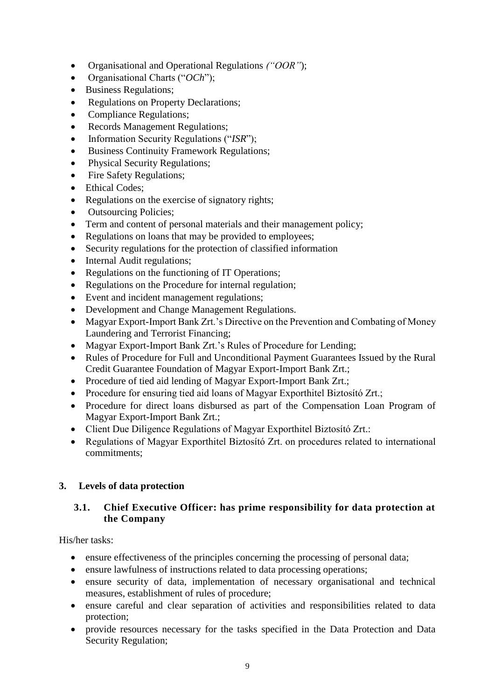- Organisational and Operational Regulations *("OOR"*);
- Organisational Charts ("*OCh*");
- Business Regulations;
- Regulations on Property Declarations;
- Compliance Regulations;
- Records Management Regulations;
- Information Security Regulations ("*ISR*");
- Business Continuity Framework Regulations;
- Physical Security Regulations;
- Fire Safety Regulations;
- Ethical Codes:
- Regulations on the exercise of signatory rights;
- Outsourcing Policies;
- Term and content of personal materials and their management policy;
- Regulations on loans that may be provided to employees;
- Security regulations for the protection of classified information
- Internal Audit regulations;
- Regulations on the functioning of IT Operations;
- Regulations on the Procedure for internal regulation;
- Event and incident management regulations;
- Development and Change Management Regulations.
- Magyar Export-Import Bank Zrt.'s Directive on the Prevention and Combating of Money Laundering and Terrorist Financing;
- Magyar Export-Import Bank Zrt.'s Rules of Procedure for Lending;
- Rules of Procedure for Full and Unconditional Payment Guarantees Issued by the Rural Credit Guarantee Foundation of Magyar Export-Import Bank Zrt.;
- Procedure of tied aid lending of Magyar Export-Import Bank Zrt.;
- Procedure for ensuring tied aid loans of Magyar Exporthitel Biztosító Zrt.;
- Procedure for direct loans disbursed as part of the Compensation Loan Program of Magyar Export-Import Bank Zrt.;
- Client Due Diligence Regulations of Magyar Exporthitel Biztosító Zrt.:
- Regulations of Magyar Exporthitel Biztosító Zrt. on procedures related to international commitments;

#### <span id="page-9-0"></span>**3. Levels of data protection**

## <span id="page-9-1"></span>**3.1. Chief Executive Officer: has prime responsibility for data protection at the Company**

His/her tasks:

- ensure effectiveness of the principles concerning the processing of personal data;
- ensure lawfulness of instructions related to data processing operations;
- ensure security of data, implementation of necessary organisational and technical measures, establishment of rules of procedure;
- ensure careful and clear separation of activities and responsibilities related to data protection;
- provide resources necessary for the tasks specified in the Data Protection and Data Security Regulation;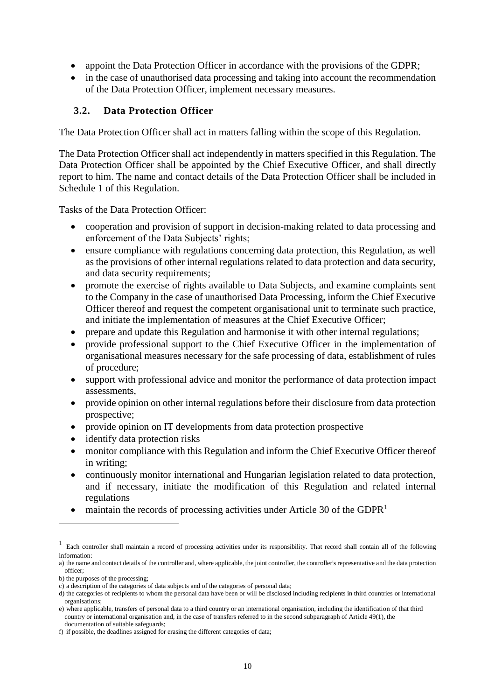- appoint the Data Protection Officer in accordance with the provisions of the GDPR;
- in the case of unauthorised data processing and taking into account the recommendation of the Data Protection Officer, implement necessary measures.

#### <span id="page-10-0"></span>**3.2. Data Protection Officer**

The Data Protection Officer shall act in matters falling within the scope of this Regulation.

The Data Protection Officer shall act independently in matters specified in this Regulation. The Data Protection Officer shall be appointed by the Chief Executive Officer, and shall directly report to him. The name and contact details of the Data Protection Officer shall be included in Schedule 1 of this Regulation.

Tasks of the Data Protection Officer:

- cooperation and provision of support in decision-making related to data processing and enforcement of the Data Subjects' rights;
- ensure compliance with regulations concerning data protection, this Regulation, as well as the provisions of other internal regulations related to data protection and data security, and data security requirements;
- promote the exercise of rights available to Data Subjects, and examine complaints sent to the Company in the case of unauthorised Data Processing, inform the Chief Executive Officer thereof and request the competent organisational unit to terminate such practice, and initiate the implementation of measures at the Chief Executive Officer;
- prepare and update this Regulation and harmonise it with other internal regulations;
- provide professional support to the Chief Executive Officer in the implementation of organisational measures necessary for the safe processing of data, establishment of rules of procedure;
- support with professional advice and monitor the performance of data protection impact assessments,
- provide opinion on other internal regulations before their disclosure from data protection prospective;
- provide opinion on IT developments from data protection prospective
- identify data protection risks
- monitor compliance with this Regulation and inform the Chief Executive Officer thereof in writing;
- continuously monitor international and Hungarian legislation related to data protection, and if necessary, initiate the modification of this Regulation and related internal regulations
- maintain the records of processing activities under Article 30 of the GDPR<sup>1</sup>

 $\overline{a}$ 

<sup>&</sup>lt;sup>1</sup> Each controller shall maintain a record of processing activities under its responsibility. That record shall contain all of the following information:

a) the name and contact details of the controller and, where applicable, the joint controller, the controller's representative and the data protection officer;

b) the purposes of the processing;

c) a description of the categories of data subjects and of the categories of personal data;

d) the categories of recipients to whom the personal data have been or will be disclosed including recipients in third countries or international organisations;

e) where applicable, transfers of personal data to a third country or an international organisation, including the identification of that third country or international organisation and, in the case of transfers referred to in the second subparagraph of Article 49(1), the documentation of suitable safeguards;

f) if possible, the deadlines assigned for erasing the different categories of data;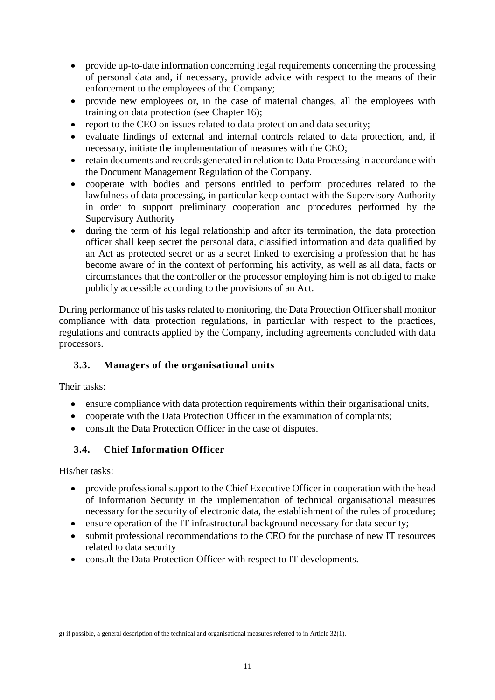- provide up-to-date information concerning legal requirements concerning the processing of personal data and, if necessary, provide advice with respect to the means of their enforcement to the employees of the Company;
- provide new employees or, in the case of material changes, all the employees with training on data protection (see Chapter 16);
- report to the CEO on issues related to data protection and data security;
- evaluate findings of external and internal controls related to data protection, and, if necessary, initiate the implementation of measures with the CEO;
- retain documents and records generated in relation to Data Processing in accordance with the Document Management Regulation of the Company.
- cooperate with bodies and persons entitled to perform procedures related to the lawfulness of data processing, in particular keep contact with the Supervisory Authority in order to support preliminary cooperation and procedures performed by the Supervisory Authority
- during the term of his legal relationship and after its termination, the data protection officer shall keep secret the personal data, classified information and data qualified by an Act as protected secret or as a secret linked to exercising a profession that he has become aware of in the context of performing his activity, as well as all data, facts or circumstances that the controller or the processor employing him is not obliged to make publicly accessible according to the provisions of an Act.

During performance of his tasks related to monitoring, the Data Protection Officer shall monitor compliance with data protection regulations, in particular with respect to the practices, regulations and contracts applied by the Company, including agreements concluded with data processors.

# <span id="page-11-0"></span>**3.3. Managers of the organisational units**

Their tasks:

- ensure compliance with data protection requirements within their organisational units,
- cooperate with the Data Protection Officer in the examination of complaints;
- consult the Data Protection Officer in the case of disputes.

# <span id="page-11-1"></span>**3.4. Chief Information Officer**

His/her tasks:

 $\overline{a}$ 

- provide professional support to the Chief Executive Officer in cooperation with the head of Information Security in the implementation of technical organisational measures necessary for the security of electronic data, the establishment of the rules of procedure;
- ensure operation of the IT infrastructural background necessary for data security;
- submit professional recommendations to the CEO for the purchase of new IT resources related to data security
- consult the Data Protection Officer with respect to IT developments.

g) if possible, a general description of the technical and organisational measures referred to in Article 32(1).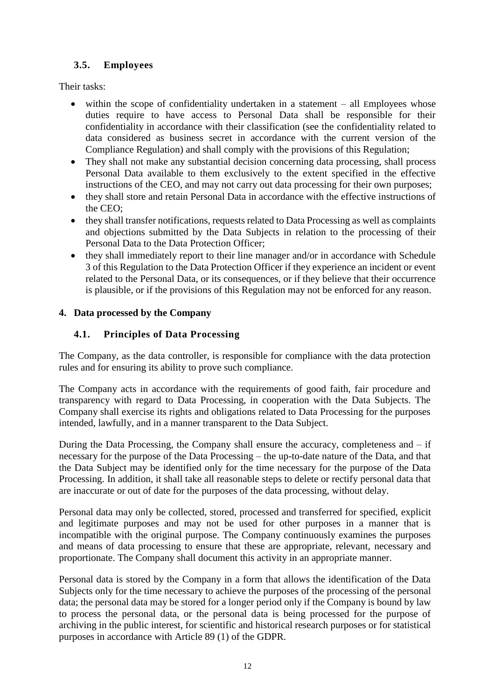# <span id="page-12-0"></span>**3.5. Employees**

Their tasks:

- within the scope of confidentiality undertaken in a statement  $-$  all Employees whose duties require to have access to Personal Data shall be responsible for their confidentiality in accordance with their classification (see the confidentiality related to data considered as business secret in accordance with the current version of the Compliance Regulation) and shall comply with the provisions of this Regulation;
- They shall not make any substantial decision concerning data processing, shall process Personal Data available to them exclusively to the extent specified in the effective instructions of the CEO, and may not carry out data processing for their own purposes;
- they shall store and retain Personal Data in accordance with the effective instructions of the  $CFO^+$
- they shall transfer notifications, requests related to Data Processing as well as complaints and objections submitted by the Data Subjects in relation to the processing of their Personal Data to the Data Protection Officer;
- they shall immediately report to their line manager and/or in accordance with Schedule 3 of this Regulation to the Data Protection Officer if they experience an incident or event related to the Personal Data, or its consequences, or if they believe that their occurrence is plausible, or if the provisions of this Regulation may not be enforced for any reason.

# <span id="page-12-1"></span>**4. Data processed by the Company**

# <span id="page-12-2"></span>**4.1. Principles of Data Processing**

The Company, as the data controller, is responsible for compliance with the data protection rules and for ensuring its ability to prove such compliance.

The Company acts in accordance with the requirements of good faith, fair procedure and transparency with regard to Data Processing, in cooperation with the Data Subjects. The Company shall exercise its rights and obligations related to Data Processing for the purposes intended, lawfully, and in a manner transparent to the Data Subject.

During the Data Processing, the Company shall ensure the accuracy, completeness and  $-$  if necessary for the purpose of the Data Processing – the up-to-date nature of the Data, and that the Data Subject may be identified only for the time necessary for the purpose of the Data Processing. In addition, it shall take all reasonable steps to delete or rectify personal data that are inaccurate or out of date for the purposes of the data processing, without delay.

Personal data may only be collected, stored, processed and transferred for specified, explicit and legitimate purposes and may not be used for other purposes in a manner that is incompatible with the original purpose. The Company continuously examines the purposes and means of data processing to ensure that these are appropriate, relevant, necessary and proportionate. The Company shall document this activity in an appropriate manner.

Personal data is stored by the Company in a form that allows the identification of the Data Subjects only for the time necessary to achieve the purposes of the processing of the personal data; the personal data may be stored for a longer period only if the Company is bound by law to process the personal data, or the personal data is being processed for the purpose of archiving in the public interest, for scientific and historical research purposes or for statistical purposes in accordance with Article 89 (1) of the GDPR.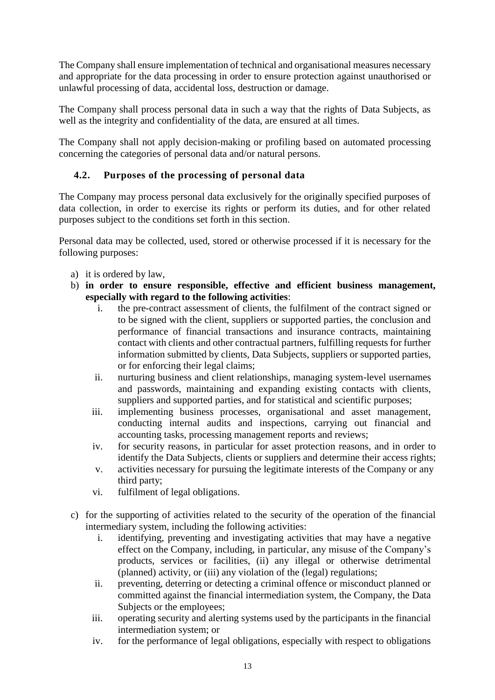The Company shall ensure implementation of technical and organisational measures necessary and appropriate for the data processing in order to ensure protection against unauthorised or unlawful processing of data, accidental loss, destruction or damage.

The Company shall process personal data in such a way that the rights of Data Subjects, as well as the integrity and confidentiality of the data, are ensured at all times.

The Company shall not apply decision-making or profiling based on automated processing concerning the categories of personal data and/or natural persons.

## <span id="page-13-0"></span>**4.2. Purposes of the processing of personal data**

The Company may process personal data exclusively for the originally specified purposes of data collection, in order to exercise its rights or perform its duties, and for other related purposes subject to the conditions set forth in this section.

Personal data may be collected, used, stored or otherwise processed if it is necessary for the following purposes:

- a) it is ordered by law,
- b) **in order to ensure responsible, effective and efficient business management, especially with regard to the following activities**:
	- the pre-contract assessment of clients, the fulfilment of the contract signed or to be signed with the client, suppliers or supported parties, the conclusion and performance of financial transactions and insurance contracts, maintaining contact with clients and other contractual partners, fulfilling requests for further information submitted by clients, Data Subjects, suppliers or supported parties, or for enforcing their legal claims;
	- ii. nurturing business and client relationships, managing system-level usernames and passwords, maintaining and expanding existing contacts with clients, suppliers and supported parties, and for statistical and scientific purposes;
	- iii. implementing business processes, organisational and asset management, conducting internal audits and inspections, carrying out financial and accounting tasks, processing management reports and reviews;
	- iv. for security reasons, in particular for asset protection reasons, and in order to identify the Data Subjects, clients or suppliers and determine their access rights;
	- v. activities necessary for pursuing the legitimate interests of the Company or any third party;
	- vi. fulfilment of legal obligations.
- c) for the supporting of activities related to the security of the operation of the financial intermediary system, including the following activities:
	- i. identifying, preventing and investigating activities that may have a negative effect on the Company, including, in particular, any misuse of the Company's products, services or facilities, (ii) any illegal or otherwise detrimental (planned) activity, or (iii) any violation of the (legal) regulations;
	- ii. preventing, deterring or detecting a criminal offence or misconduct planned or committed against the financial intermediation system, the Company, the Data Subjects or the employees;
	- iii. operating security and alerting systems used by the participants in the financial intermediation system; or
	- iv. for the performance of legal obligations, especially with respect to obligations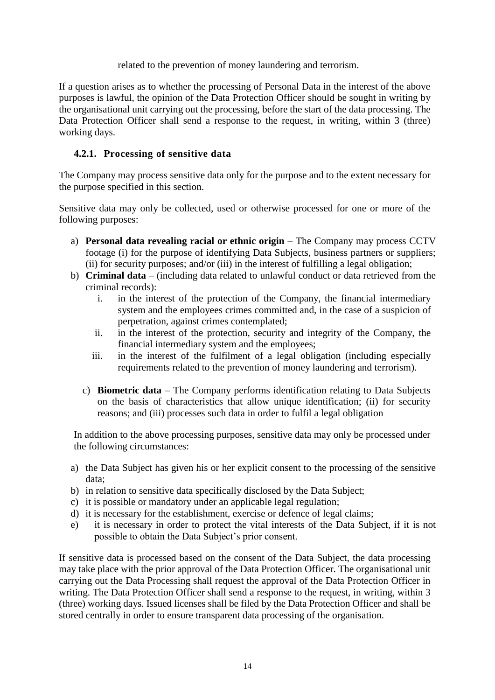related to the prevention of money laundering and terrorism.

If a question arises as to whether the processing of Personal Data in the interest of the above purposes is lawful, the opinion of the Data Protection Officer should be sought in writing by the organisational unit carrying out the processing, before the start of the data processing. The Data Protection Officer shall send a response to the request, in writing, within 3 (three) working days.

#### <span id="page-14-0"></span>**4.2.1. Processing of sensitive data**

The Company may process sensitive data only for the purpose and to the extent necessary for the purpose specified in this section.

Sensitive data may only be collected, used or otherwise processed for one or more of the following purposes:

- a) **Personal data revealing racial or ethnic origin** The Company may process CCTV footage (i) for the purpose of identifying Data Subjects, business partners or suppliers; (ii) for security purposes; and/or (iii) in the interest of fulfilling a legal obligation;
- b) **Criminal data** (including data related to unlawful conduct or data retrieved from the criminal records):
	- i. in the interest of the protection of the Company, the financial intermediary system and the employees crimes committed and, in the case of a suspicion of perpetration, against crimes contemplated;
	- ii. in the interest of the protection, security and integrity of the Company, the financial intermediary system and the employees;
	- iii. in the interest of the fulfilment of a legal obligation (including especially requirements related to the prevention of money laundering and terrorism).
	- c) **Biometric data**  The Company performs identification relating to Data Subjects on the basis of characteristics that allow unique identification; (ii) for security reasons; and (iii) processes such data in order to fulfil a legal obligation

In addition to the above processing purposes, sensitive data may only be processed under the following circumstances:

- a) the Data Subject has given his or her explicit consent to the processing of the sensitive data;
- b) in relation to sensitive data specifically disclosed by the Data Subject;
- c) it is possible or mandatory under an applicable legal regulation;
- d) it is necessary for the establishment, exercise or defence of legal claims;
- e) it is necessary in order to protect the vital interests of the Data Subject, if it is not possible to obtain the Data Subject's prior consent.

If sensitive data is processed based on the consent of the Data Subject, the data processing may take place with the prior approval of the Data Protection Officer. The organisational unit carrying out the Data Processing shall request the approval of the Data Protection Officer in writing. The Data Protection Officer shall send a response to the request, in writing, within 3 (three) working days. Issued licenses shall be filed by the Data Protection Officer and shall be stored centrally in order to ensure transparent data processing of the organisation.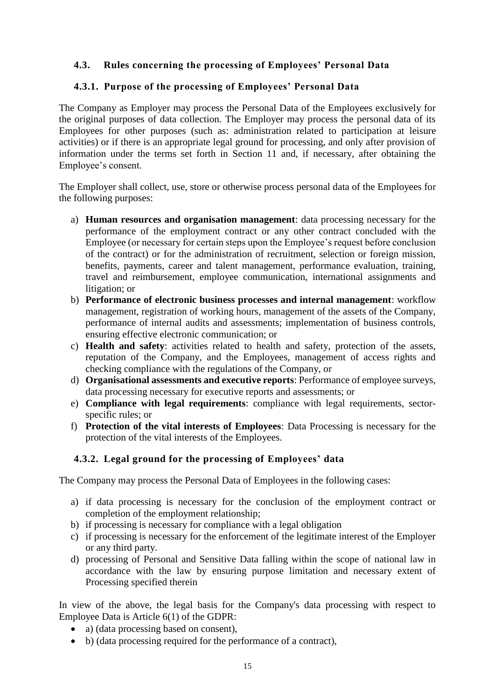## <span id="page-15-0"></span>**4.3. Rules concerning the processing of Employees' Personal Data**

#### <span id="page-15-1"></span>**4.3.1. Purpose of the processing of Employees' Personal Data**

The Company as Employer may process the Personal Data of the Employees exclusively for the original purposes of data collection. The Employer may process the personal data of its Employees for other purposes (such as: administration related to participation at leisure activities) or if there is an appropriate legal ground for processing, and only after provision of information under the terms set forth in Section 11 and, if necessary, after obtaining the Employee's consent.

The Employer shall collect, use, store or otherwise process personal data of the Employees for the following purposes:

- a) **Human resources and organisation management**: data processing necessary for the performance of the employment contract or any other contract concluded with the Employee (or necessary for certain steps upon the Employee's request before conclusion of the contract) or for the administration of recruitment, selection or foreign mission, benefits, payments, career and talent management, performance evaluation, training, travel and reimbursement, employee communication, international assignments and litigation; or
- b) **Performance of electronic business processes and internal management**: workflow management, registration of working hours, management of the assets of the Company, performance of internal audits and assessments; implementation of business controls, ensuring effective electronic communication; or
- c) **Health and safety**: activities related to health and safety, protection of the assets, reputation of the Company, and the Employees, management of access rights and checking compliance with the regulations of the Company, or
- d) **Organisational assessments and executive reports**: Performance of employee surveys, data processing necessary for executive reports and assessments; or
- e) **Compliance with legal requirements**: compliance with legal requirements, sectorspecific rules; or
- f) **Protection of the vital interests of Employees**: Data Processing is necessary for the protection of the vital interests of the Employees.

#### <span id="page-15-2"></span>**4.3.2. Legal ground for the processing of Employees' data**

The Company may process the Personal Data of Employees in the following cases:

- a) if data processing is necessary for the conclusion of the employment contract or completion of the employment relationship;
- b) if processing is necessary for compliance with a legal obligation
- c) if processing is necessary for the enforcement of the legitimate interest of the Employer or any third party.
- d) processing of Personal and Sensitive Data falling within the scope of national law in accordance with the law by ensuring purpose limitation and necessary extent of Processing specified therein

In view of the above, the legal basis for the Company's data processing with respect to Employee Data is Article 6(1) of the GDPR:

- a) (data processing based on consent),
- b) (data processing required for the performance of a contract),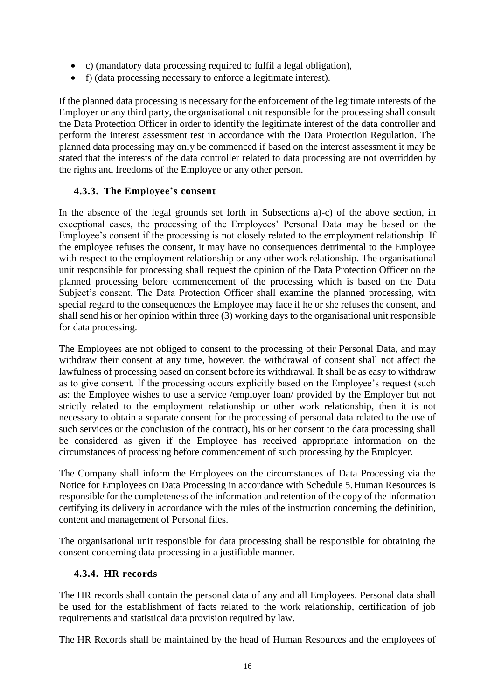- c) (mandatory data processing required to fulfil a legal obligation),
- f) (data processing necessary to enforce a legitimate interest).

If the planned data processing is necessary for the enforcement of the legitimate interests of the Employer or any third party, the organisational unit responsible for the processing shall consult the Data Protection Officer in order to identify the legitimate interest of the data controller and perform the interest assessment test in accordance with the Data Protection Regulation. The planned data processing may only be commenced if based on the interest assessment it may be stated that the interests of the data controller related to data processing are not overridden by the rights and freedoms of the Employee or any other person.

#### <span id="page-16-0"></span>**4.3.3. The Employee's consent**

In the absence of the legal grounds set forth in Subsections a)-c) of the above section, in exceptional cases, the processing of the Employees' Personal Data may be based on the Employee's consent if the processing is not closely related to the employment relationship. If the employee refuses the consent, it may have no consequences detrimental to the Employee with respect to the employment relationship or any other work relationship. The organisational unit responsible for processing shall request the opinion of the Data Protection Officer on the planned processing before commencement of the processing which is based on the Data Subject's consent. The Data Protection Officer shall examine the planned processing, with special regard to the consequences the Employee may face if he or she refuses the consent, and shall send his or her opinion within three (3) working days to the organisational unit responsible for data processing.

The Employees are not obliged to consent to the processing of their Personal Data, and may withdraw their consent at any time, however, the withdrawal of consent shall not affect the lawfulness of processing based on consent before its withdrawal. It shall be as easy to withdraw as to give consent. If the processing occurs explicitly based on the Employee's request (such as: the Employee wishes to use a service /employer loan/ provided by the Employer but not strictly related to the employment relationship or other work relationship, then it is not necessary to obtain a separate consent for the processing of personal data related to the use of such services or the conclusion of the contract), his or her consent to the data processing shall be considered as given if the Employee has received appropriate information on the circumstances of processing before commencement of such processing by the Employer.

The Company shall inform the Employees on the circumstances of Data Processing via the Notice for Employees on Data Processing in accordance with Schedule 5.Human Resources is responsible for the completeness of the information and retention of the copy of the information certifying its delivery in accordance with the rules of the instruction concerning the definition, content and management of Personal files.

The organisational unit responsible for data processing shall be responsible for obtaining the consent concerning data processing in a justifiable manner.

#### <span id="page-16-1"></span>**4.3.4. HR records**

The HR records shall contain the personal data of any and all Employees. Personal data shall be used for the establishment of facts related to the work relationship, certification of job requirements and statistical data provision required by law.

The HR Records shall be maintained by the head of Human Resources and the employees of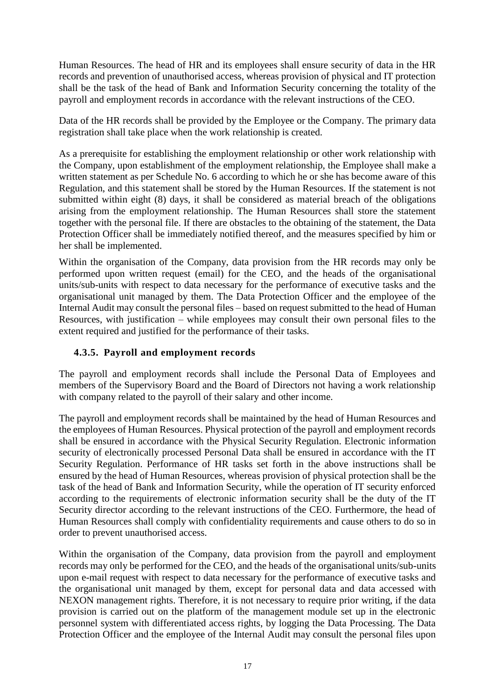Human Resources. The head of HR and its employees shall ensure security of data in the HR records and prevention of unauthorised access, whereas provision of physical and IT protection shall be the task of the head of Bank and Information Security concerning the totality of the payroll and employment records in accordance with the relevant instructions of the CEO.

Data of the HR records shall be provided by the Employee or the Company. The primary data registration shall take place when the work relationship is created.

As a prerequisite for establishing the employment relationship or other work relationship with the Company, upon establishment of the employment relationship, the Employee shall make a written statement as per Schedule No. 6 according to which he or she has become aware of this Regulation, and this statement shall be stored by the Human Resources. If the statement is not submitted within eight (8) days, it shall be considered as material breach of the obligations arising from the employment relationship. The Human Resources shall store the statement together with the personal file. If there are obstacles to the obtaining of the statement, the Data Protection Officer shall be immediately notified thereof, and the measures specified by him or her shall be implemented.

Within the organisation of the Company, data provision from the HR records may only be performed upon written request (email) for the CEO, and the heads of the organisational units/sub-units with respect to data necessary for the performance of executive tasks and the organisational unit managed by them. The Data Protection Officer and the employee of the Internal Audit may consult the personal files – based on request submitted to the head of Human Resources, with justification – while employees may consult their own personal files to the extent required and justified for the performance of their tasks.

#### <span id="page-17-0"></span>**4.3.5. Payroll and employment records**

The payroll and employment records shall include the Personal Data of Employees and members of the Supervisory Board and the Board of Directors not having a work relationship with company related to the payroll of their salary and other income.

The payroll and employment records shall be maintained by the head of Human Resources and the employees of Human Resources. Physical protection of the payroll and employment records shall be ensured in accordance with the Physical Security Regulation. Electronic information security of electronically processed Personal Data shall be ensured in accordance with the IT Security Regulation. Performance of HR tasks set forth in the above instructions shall be ensured by the head of Human Resources, whereas provision of physical protection shall be the task of the head of Bank and Information Security, while the operation of IT security enforced according to the requirements of electronic information security shall be the duty of the IT Security director according to the relevant instructions of the CEO. Furthermore, the head of Human Resources shall comply with confidentiality requirements and cause others to do so in order to prevent unauthorised access.

Within the organisation of the Company, data provision from the payroll and employment records may only be performed for the CEO, and the heads of the organisational units/sub-units upon e-mail request with respect to data necessary for the performance of executive tasks and the organisational unit managed by them, except for personal data and data accessed with NEXON management rights. Therefore, it is not necessary to require prior writing, if the data provision is carried out on the platform of the management module set up in the electronic personnel system with differentiated access rights, by logging the Data Processing. The Data Protection Officer and the employee of the Internal Audit may consult the personal files upon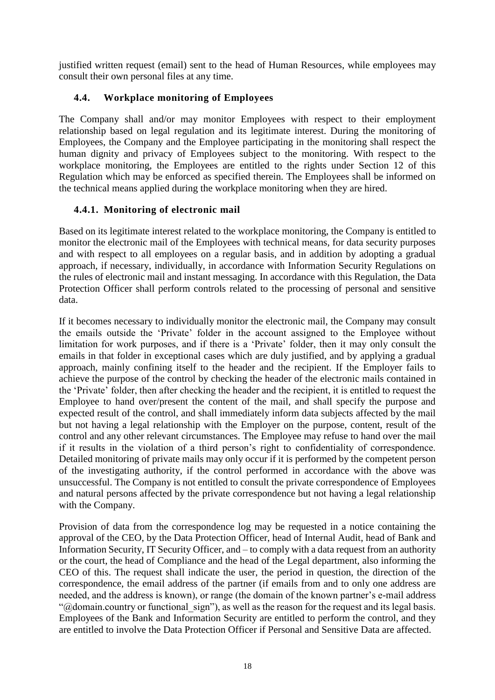justified written request (email) sent to the head of Human Resources, while employees may consult their own personal files at any time.

# <span id="page-18-0"></span>**4.4. Workplace monitoring of Employees**

The Company shall and/or may monitor Employees with respect to their employment relationship based on legal regulation and its legitimate interest. During the monitoring of Employees, the Company and the Employee participating in the monitoring shall respect the human dignity and privacy of Employees subject to the monitoring. With respect to the workplace monitoring, the Employees are entitled to the rights under Section 12 of this Regulation which may be enforced as specified therein. The Employees shall be informed on the technical means applied during the workplace monitoring when they are hired.

# <span id="page-18-1"></span>**4.4.1. Monitoring of electronic mail**

Based on its legitimate interest related to the workplace monitoring, the Company is entitled to monitor the electronic mail of the Employees with technical means, for data security purposes and with respect to all employees on a regular basis, and in addition by adopting a gradual approach, if necessary, individually, in accordance with Information Security Regulations on the rules of electronic mail and instant messaging. In accordance with this Regulation, the Data Protection Officer shall perform controls related to the processing of personal and sensitive data.

If it becomes necessary to individually monitor the electronic mail, the Company may consult the emails outside the 'Private' folder in the account assigned to the Employee without limitation for work purposes, and if there is a 'Private' folder, then it may only consult the emails in that folder in exceptional cases which are duly justified, and by applying a gradual approach, mainly confining itself to the header and the recipient. If the Employer fails to achieve the purpose of the control by checking the header of the electronic mails contained in the 'Private' folder, then after checking the header and the recipient, it is entitled to request the Employee to hand over/present the content of the mail, and shall specify the purpose and expected result of the control, and shall immediately inform data subjects affected by the mail but not having a legal relationship with the Employer on the purpose, content, result of the control and any other relevant circumstances. The Employee may refuse to hand over the mail if it results in the violation of a third person's right to confidentiality of correspondence. Detailed monitoring of private mails may only occur if it is performed by the competent person of the investigating authority, if the control performed in accordance with the above was unsuccessful. The Company is not entitled to consult the private correspondence of Employees and natural persons affected by the private correspondence but not having a legal relationship with the Company.

Provision of data from the correspondence log may be requested in a notice containing the approval of the CEO, by the Data Protection Officer, head of Internal Audit, head of Bank and Information Security, IT Security Officer, and – to comply with a data request from an authority or the court, the head of Compliance and the head of the Legal department, also informing the CEO of this. The request shall indicate the user, the period in question, the direction of the correspondence, the email address of the partner (if emails from and to only one address are needed, and the address is known), or range (the domain of the known partner's e-mail address " $@$  domain.country or functional sign"), as well as the reason for the request and its legal basis. Employees of the Bank and Information Security are entitled to perform the control, and they are entitled to involve the Data Protection Officer if Personal and Sensitive Data are affected.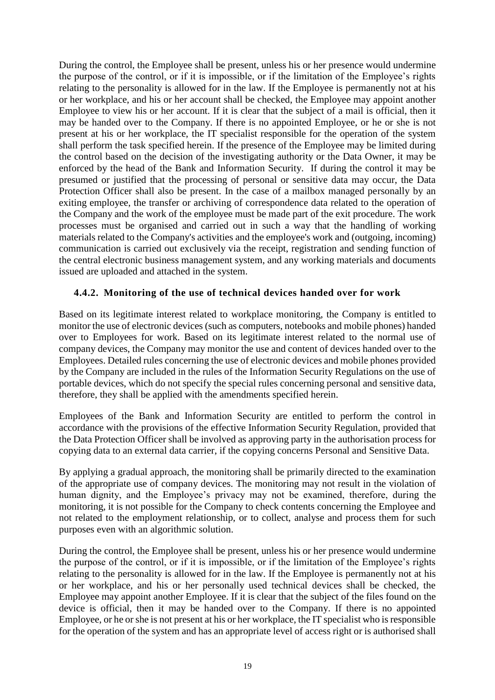During the control, the Employee shall be present, unless his or her presence would undermine the purpose of the control, or if it is impossible, or if the limitation of the Employee's rights relating to the personality is allowed for in the law. If the Employee is permanently not at his or her workplace, and his or her account shall be checked, the Employee may appoint another Employee to view his or her account. If it is clear that the subject of a mail is official, then it may be handed over to the Company. If there is no appointed Employee, or he or she is not present at his or her workplace, the IT specialist responsible for the operation of the system shall perform the task specified herein. If the presence of the Employee may be limited during the control based on the decision of the investigating authority or the Data Owner, it may be enforced by the head of the Bank and Information Security. If during the control it may be presumed or justified that the processing of personal or sensitive data may occur, the Data Protection Officer shall also be present. In the case of a mailbox managed personally by an exiting employee, the transfer or archiving of correspondence data related to the operation of the Company and the work of the employee must be made part of the exit procedure. The work processes must be organised and carried out in such a way that the handling of working materials related to the Company's activities and the employee's work and (outgoing, incoming) communication is carried out exclusively via the receipt, registration and sending function of the central electronic business management system, and any working materials and documents issued are uploaded and attached in the system.

#### <span id="page-19-0"></span>**4.4.2. Monitoring of the use of technical devices handed over for work**

Based on its legitimate interest related to workplace monitoring, the Company is entitled to monitor the use of electronic devices (such as computers, notebooks and mobile phones) handed over to Employees for work. Based on its legitimate interest related to the normal use of company devices, the Company may monitor the use and content of devices handed over to the Employees. Detailed rules concerning the use of electronic devices and mobile phones provided by the Company are included in the rules of the Information Security Regulations on the use of portable devices, which do not specify the special rules concerning personal and sensitive data, therefore, they shall be applied with the amendments specified herein.

Employees of the Bank and Information Security are entitled to perform the control in accordance with the provisions of the effective Information Security Regulation, provided that the Data Protection Officer shall be involved as approving party in the authorisation process for copying data to an external data carrier, if the copying concerns Personal and Sensitive Data.

By applying a gradual approach, the monitoring shall be primarily directed to the examination of the appropriate use of company devices. The monitoring may not result in the violation of human dignity, and the Employee's privacy may not be examined, therefore, during the monitoring, it is not possible for the Company to check contents concerning the Employee and not related to the employment relationship, or to collect, analyse and process them for such purposes even with an algorithmic solution.

During the control, the Employee shall be present, unless his or her presence would undermine the purpose of the control, or if it is impossible, or if the limitation of the Employee's rights relating to the personality is allowed for in the law. If the Employee is permanently not at his or her workplace, and his or her personally used technical devices shall be checked, the Employee may appoint another Employee. If it is clear that the subject of the files found on the device is official, then it may be handed over to the Company. If there is no appointed Employee, or he or she is not present at his or her workplace, the IT specialist who is responsible for the operation of the system and has an appropriate level of access right or is authorised shall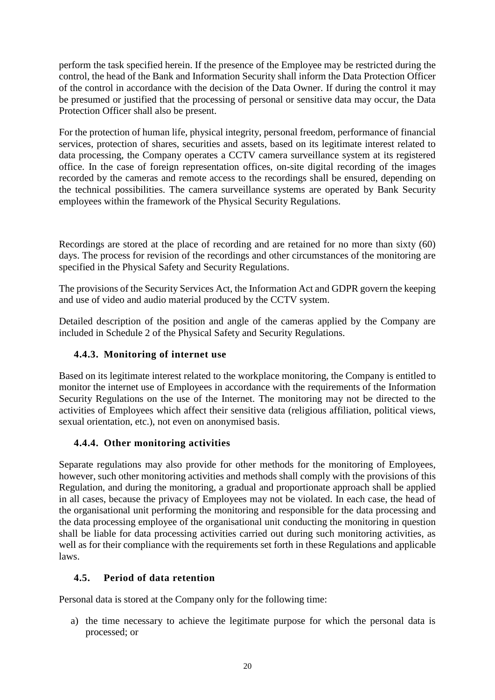perform the task specified herein. If the presence of the Employee may be restricted during the control, the head of the Bank and Information Security shall inform the Data Protection Officer of the control in accordance with the decision of the Data Owner. If during the control it may be presumed or justified that the processing of personal or sensitive data may occur, the Data Protection Officer shall also be present.

For the protection of human life, physical integrity, personal freedom, performance of financial services, protection of shares, securities and assets, based on its legitimate interest related to data processing, the Company operates a CCTV camera surveillance system at its registered office. In the case of foreign representation offices, on-site digital recording of the images recorded by the cameras and remote access to the recordings shall be ensured, depending on the technical possibilities. The camera surveillance systems are operated by Bank Security employees within the framework of the Physical Security Regulations.

Recordings are stored at the place of recording and are retained for no more than sixty (60) days. The process for revision of the recordings and other circumstances of the monitoring are specified in the Physical Safety and Security Regulations.

The provisions of the Security Services Act, the Information Act and GDPR govern the keeping and use of video and audio material produced by the CCTV system.

Detailed description of the position and angle of the cameras applied by the Company are included in Schedule 2 of the Physical Safety and Security Regulations.

## <span id="page-20-0"></span>**4.4.3. Monitoring of internet use**

Based on its legitimate interest related to the workplace monitoring, the Company is entitled to monitor the internet use of Employees in accordance with the requirements of the Information Security Regulations on the use of the Internet. The monitoring may not be directed to the activities of Employees which affect their sensitive data (religious affiliation, political views, sexual orientation, etc.), not even on anonymised basis.

#### <span id="page-20-1"></span>**4.4.4. Other monitoring activities**

Separate regulations may also provide for other methods for the monitoring of Employees, however, such other monitoring activities and methods shall comply with the provisions of this Regulation, and during the monitoring, a gradual and proportionate approach shall be applied in all cases, because the privacy of Employees may not be violated. In each case, the head of the organisational unit performing the monitoring and responsible for the data processing and the data processing employee of the organisational unit conducting the monitoring in question shall be liable for data processing activities carried out during such monitoring activities, as well as for their compliance with the requirements set forth in these Regulations and applicable laws.

#### <span id="page-20-2"></span>**4.5. Period of data retention**

Personal data is stored at the Company only for the following time:

a) the time necessary to achieve the legitimate purpose for which the personal data is processed; or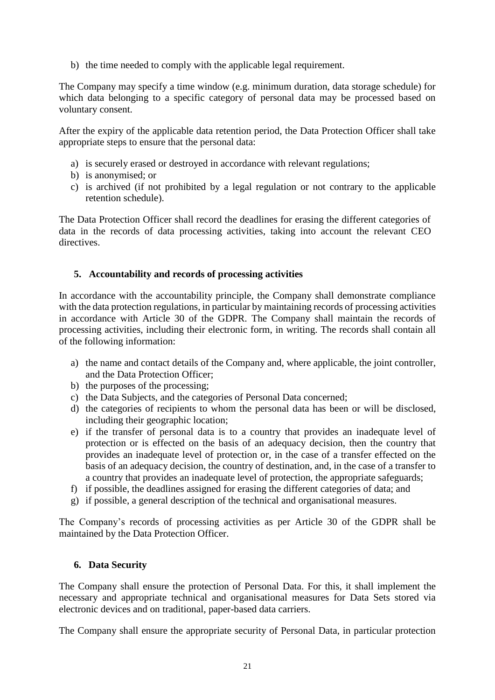b) the time needed to comply with the applicable legal requirement.

The Company may specify a time window (e.g. minimum duration, data storage schedule) for which data belonging to a specific category of personal data may be processed based on voluntary consent.

After the expiry of the applicable data retention period, the Data Protection Officer shall take appropriate steps to ensure that the personal data:

- a) is securely erased or destroyed in accordance with relevant regulations;
- b) is anonymised; or
- c) is archived (if not prohibited by a legal regulation or not contrary to the applicable retention schedule).

The Data Protection Officer shall record the deadlines for erasing the different categories of data in the records of data processing activities, taking into account the relevant CEO directives.

#### <span id="page-21-0"></span>**5. Accountability and records of processing activities**

In accordance with the accountability principle, the Company shall demonstrate compliance with the data protection regulations, in particular by maintaining records of processing activities in accordance with Article 30 of the GDPR. The Company shall maintain the records of processing activities, including their electronic form, in writing. The records shall contain all of the following information:

- a) the name and contact details of the Company and, where applicable, the joint controller, and the Data Protection Officer;
- b) the purposes of the processing;
- c) the Data Subjects, and the categories of Personal Data concerned;
- d) the categories of recipients to whom the personal data has been or will be disclosed, including their geographic location;
- e) if the transfer of personal data is to a country that provides an inadequate level of protection or is effected on the basis of an adequacy decision, then the country that provides an inadequate level of protection or, in the case of a transfer effected on the basis of an adequacy decision, the country of destination, and, in the case of a transfer to a country that provides an inadequate level of protection, the appropriate safeguards;
- f) if possible, the deadlines assigned for erasing the different categories of data; and
- g) if possible, a general description of the technical and organisational measures.

The Company's records of processing activities as per Article 30 of the GDPR shall be maintained by the Data Protection Officer.

#### <span id="page-21-1"></span>**6. Data Security**

The Company shall ensure the protection of Personal Data. For this, it shall implement the necessary and appropriate technical and organisational measures for Data Sets stored via electronic devices and on traditional, paper-based data carriers.

The Company shall ensure the appropriate security of Personal Data, in particular protection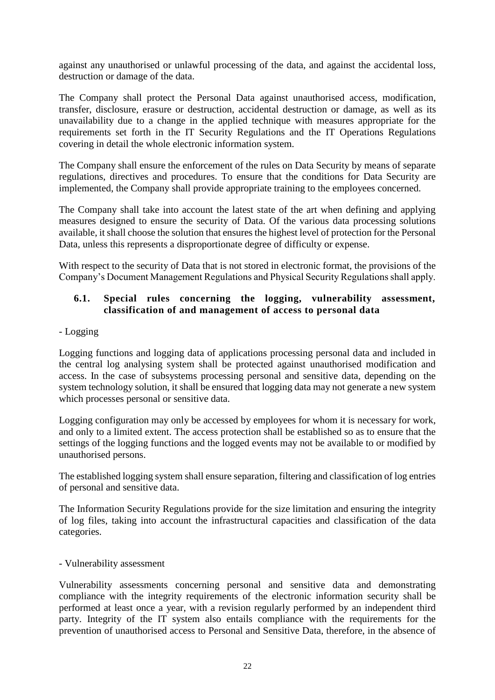against any unauthorised or unlawful processing of the data, and against the accidental loss, destruction or damage of the data.

The Company shall protect the Personal Data against unauthorised access, modification, transfer, disclosure, erasure or destruction, accidental destruction or damage, as well as its unavailability due to a change in the applied technique with measures appropriate for the requirements set forth in the IT Security Regulations and the IT Operations Regulations covering in detail the whole electronic information system.

The Company shall ensure the enforcement of the rules on Data Security by means of separate regulations, directives and procedures. To ensure that the conditions for Data Security are implemented, the Company shall provide appropriate training to the employees concerned.

The Company shall take into account the latest state of the art when defining and applying measures designed to ensure the security of Data. Of the various data processing solutions available, it shall choose the solution that ensures the highest level of protection for the Personal Data, unless this represents a disproportionate degree of difficulty or expense.

With respect to the security of Data that is not stored in electronic format, the provisions of the Company's Document Management Regulations and Physical Security Regulations shall apply.

#### <span id="page-22-0"></span>**6.1. Special rules concerning the logging, vulnerability assessment, classification of and management of access to personal data**

#### - Logging

Logging functions and logging data of applications processing personal data and included in the central log analysing system shall be protected against unauthorised modification and access. In the case of subsystems processing personal and sensitive data, depending on the system technology solution, it shall be ensured that logging data may not generate a new system which processes personal or sensitive data.

Logging configuration may only be accessed by employees for whom it is necessary for work, and only to a limited extent. The access protection shall be established so as to ensure that the settings of the logging functions and the logged events may not be available to or modified by unauthorised persons.

The established logging system shall ensure separation, filtering and classification of log entries of personal and sensitive data.

The Information Security Regulations provide for the size limitation and ensuring the integrity of log files, taking into account the infrastructural capacities and classification of the data categories.

#### - Vulnerability assessment

Vulnerability assessments concerning personal and sensitive data and demonstrating compliance with the integrity requirements of the electronic information security shall be performed at least once a year, with a revision regularly performed by an independent third party. Integrity of the IT system also entails compliance with the requirements for the prevention of unauthorised access to Personal and Sensitive Data, therefore, in the absence of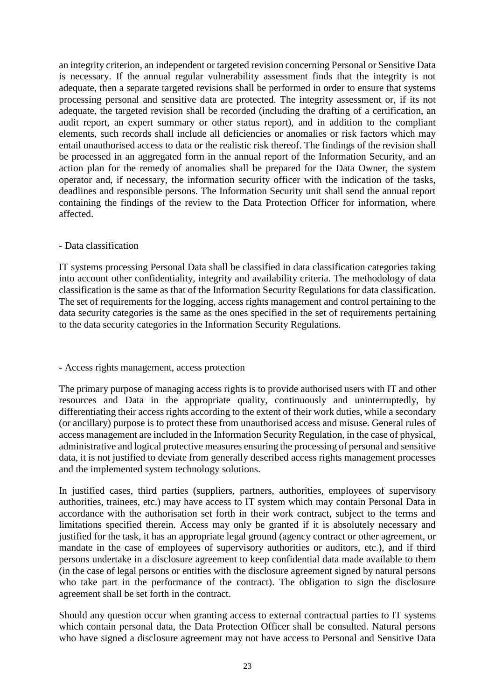an integrity criterion, an independent or targeted revision concerning Personal or Sensitive Data is necessary. If the annual regular vulnerability assessment finds that the integrity is not adequate, then a separate targeted revisions shall be performed in order to ensure that systems processing personal and sensitive data are protected. The integrity assessment or, if its not adequate, the targeted revision shall be recorded (including the drafting of a certification, an audit report, an expert summary or other status report), and in addition to the compliant elements, such records shall include all deficiencies or anomalies or risk factors which may entail unauthorised access to data or the realistic risk thereof. The findings of the revision shall be processed in an aggregated form in the annual report of the Information Security, and an action plan for the remedy of anomalies shall be prepared for the Data Owner, the system operator and, if necessary, the information security officer with the indication of the tasks, deadlines and responsible persons. The Information Security unit shall send the annual report containing the findings of the review to the Data Protection Officer for information, where affected.

#### - Data classification

IT systems processing Personal Data shall be classified in data classification categories taking into account other confidentiality, integrity and availability criteria. The methodology of data classification is the same as that of the Information Security Regulations for data classification. The set of requirements for the logging, access rights management and control pertaining to the data security categories is the same as the ones specified in the set of requirements pertaining to the data security categories in the Information Security Regulations.

#### - Access rights management, access protection

The primary purpose of managing access rights is to provide authorised users with IT and other resources and Data in the appropriate quality, continuously and uninterruptedly, by differentiating their access rights according to the extent of their work duties, while a secondary (or ancillary) purpose is to protect these from unauthorised access and misuse. General rules of access management are included in the Information Security Regulation, in the case of physical, administrative and logical protective measures ensuring the processing of personal and sensitive data, it is not justified to deviate from generally described access rights management processes and the implemented system technology solutions.

In justified cases, third parties (suppliers, partners, authorities, employees of supervisory authorities, trainees, etc.) may have access to IT system which may contain Personal Data in accordance with the authorisation set forth in their work contract, subject to the terms and limitations specified therein. Access may only be granted if it is absolutely necessary and justified for the task, it has an appropriate legal ground (agency contract or other agreement, or mandate in the case of employees of supervisory authorities or auditors, etc.), and if third persons undertake in a disclosure agreement to keep confidential data made available to them (in the case of legal persons or entities with the disclosure agreement signed by natural persons who take part in the performance of the contract). The obligation to sign the disclosure agreement shall be set forth in the contract.

Should any question occur when granting access to external contractual parties to IT systems which contain personal data, the Data Protection Officer shall be consulted. Natural persons who have signed a disclosure agreement may not have access to Personal and Sensitive Data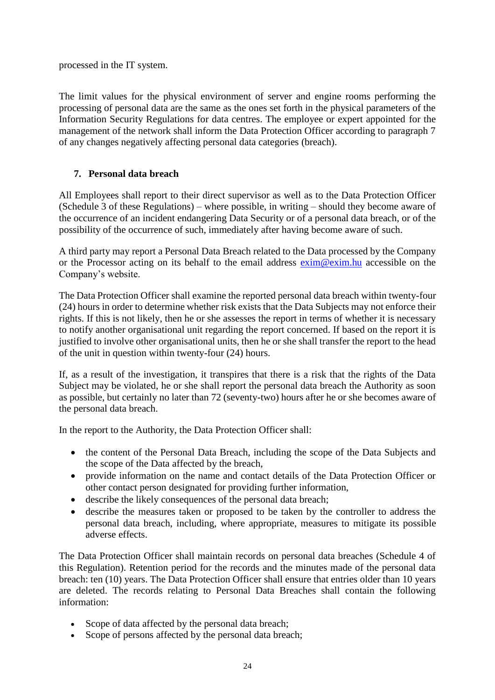processed in the IT system.

The limit values for the physical environment of server and engine rooms performing the processing of personal data are the same as the ones set forth in the physical parameters of the Information Security Regulations for data centres. The employee or expert appointed for the management of the network shall inform the Data Protection Officer according to paragraph 7 of any changes negatively affecting personal data categories (breach).

## <span id="page-24-0"></span>**7. Personal data breach**

All Employees shall report to their direct supervisor as well as to the Data Protection Officer (Schedule 3 of these Regulations) – where possible, in writing – should they become aware of the occurrence of an incident endangering Data Security or of a personal data breach, or of the possibility of the occurrence of such, immediately after having become aware of such.

A third party may report a Personal Data Breach related to the Data processed by the Company or the Processor acting on its behalf to the email address [exim@exim.hu](mailto:exim@exim.hu) accessible on the Company's website.

The Data Protection Officer shall examine the reported personal data breach within twenty-four (24) hours in order to determine whether risk exists that the Data Subjects may not enforce their rights. If this is not likely, then he or she assesses the report in terms of whether it is necessary to notify another organisational unit regarding the report concerned. If based on the report it is justified to involve other organisational units, then he or she shall transfer the report to the head of the unit in question within twenty-four (24) hours.

If, as a result of the investigation, it transpires that there is a risk that the rights of the Data Subject may be violated, he or she shall report the personal data breach the Authority as soon as possible, but certainly no later than 72 (seventy-two) hours after he or she becomes aware of the personal data breach.

In the report to the Authority, the Data Protection Officer shall:

- the content of the Personal Data Breach, including the scope of the Data Subjects and the scope of the Data affected by the breach,
- provide information on the name and contact details of the Data Protection Officer or other contact person designated for providing further information,
- describe the likely consequences of the personal data breach;
- describe the measures taken or proposed to be taken by the controller to address the personal data breach, including, where appropriate, measures to mitigate its possible adverse effects.

The Data Protection Officer shall maintain records on personal data breaches (Schedule 4 of this Regulation). Retention period for the records and the minutes made of the personal data breach: ten (10) years. The Data Protection Officer shall ensure that entries older than 10 years are deleted. The records relating to Personal Data Breaches shall contain the following information:

- Scope of data affected by the personal data breach;
- Scope of persons affected by the personal data breach;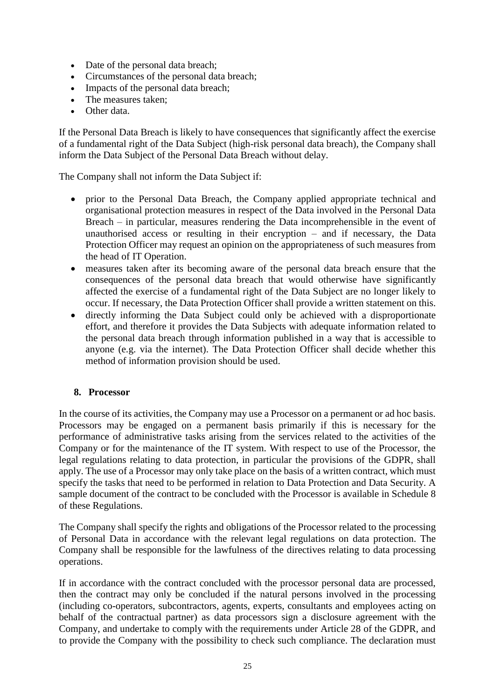- Date of the personal data breach;
- Circumstances of the personal data breach;
- Impacts of the personal data breach:
- The measures taken:
- Other data.

If the Personal Data Breach is likely to have consequences that significantly affect the exercise of a fundamental right of the Data Subject (high-risk personal data breach), the Company shall inform the Data Subject of the Personal Data Breach without delay.

The Company shall not inform the Data Subject if:

- prior to the Personal Data Breach, the Company applied appropriate technical and organisational protection measures in respect of the Data involved in the Personal Data Breach – in particular, measures rendering the Data incomprehensible in the event of unauthorised access or resulting in their encryption – and if necessary, the Data Protection Officer may request an opinion on the appropriateness of such measures from the head of IT Operation.
- measures taken after its becoming aware of the personal data breach ensure that the consequences of the personal data breach that would otherwise have significantly affected the exercise of a fundamental right of the Data Subject are no longer likely to occur. If necessary, the Data Protection Officer shall provide a written statement on this.
- directly informing the Data Subject could only be achieved with a disproportionate effort, and therefore it provides the Data Subjects with adequate information related to the personal data breach through information published in a way that is accessible to anyone (e.g. via the internet). The Data Protection Officer shall decide whether this method of information provision should be used.

#### <span id="page-25-0"></span>**8. Processor**

In the course of its activities, the Company may use a Processor on a permanent or ad hoc basis. Processors may be engaged on a permanent basis primarily if this is necessary for the performance of administrative tasks arising from the services related to the activities of the Company or for the maintenance of the IT system. With respect to use of the Processor, the legal regulations relating to data protection, in particular the provisions of the GDPR, shall apply. The use of a Processor may only take place on the basis of a written contract, which must specify the tasks that need to be performed in relation to Data Protection and Data Security. A sample document of the contract to be concluded with the Processor is available in Schedule 8 of these Regulations.

The Company shall specify the rights and obligations of the Processor related to the processing of Personal Data in accordance with the relevant legal regulations on data protection. The Company shall be responsible for the lawfulness of the directives relating to data processing operations.

If in accordance with the contract concluded with the processor personal data are processed, then the contract may only be concluded if the natural persons involved in the processing (including co-operators, subcontractors, agents, experts, consultants and employees acting on behalf of the contractual partner) as data processors sign a disclosure agreement with the Company, and undertake to comply with the requirements under Article 28 of the GDPR, and to provide the Company with the possibility to check such compliance. The declaration must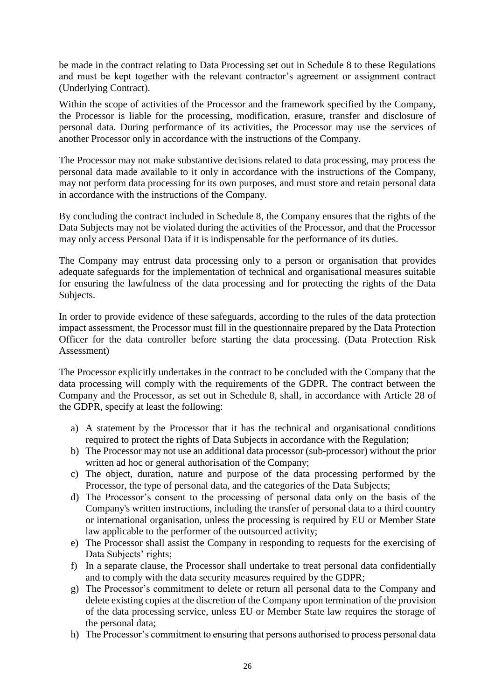be made in the contract relating to Data Processing set out in Schedule 8 to these Regulations and must be kept together with the relevant contractor's agreement or assignment contract (Underlying Contract).

Within the scope of activities of the Processor and the framework specified by the Company, the Processor is liable for the processing, modification, erasure, transfer and disclosure of personal data. During performance of its activities, the Processor may use the services of another Processor only in accordance with the instructions of the Company.

The Processor may not make substantive decisions related to data processing, may process the personal data made available to it only in accordance with the instructions of the Company, may not perform data processing for its own purposes, and must store and retain personal data in accordance with the instructions of the Company.

By concluding the contract included in Schedule 8, the Company ensures that the rights of the Data Subjects may not be violated during the activities of the Processor, and that the Processor may only access Personal Data if it is indispensable for the performance of its duties.

The Company may entrust data processing only to a person or organisation that provides adequate safeguards for the implementation of technical and organisational measures suitable for ensuring the lawfulness of the data processing and for protecting the rights of the Data Subjects.

In order to provide evidence of these safeguards, according to the rules of the data protection impact assessment, the Processor must fill in the questionnaire prepared by the Data Protection Officer for the data controller before starting the data processing. (Data Protection Risk Assessment)

The Processor explicitly undertakes in the contract to be concluded with the Company that the data processing will comply with the requirements of the GDPR. The contract between the Company and the Processor, as set out in Schedule 8, shall, in accordance with Article 28 of the GDPR, specify at least the following:

- a) A statement by the Processor that it has the technical and organisational conditions required to protect the rights of Data Subjects in accordance with the Regulation;
- b) The Processor may not use an additional data processor (sub-processor) without the prior written ad hoc or general authorisation of the Company;
- c) The object, duration, nature and purpose of the data processing performed by the Processor, the type of personal data, and the categories of the Data Subjects;
- d) The Processor's consent to the processing of personal data only on the basis of the Company's written instructions, including the transfer of personal data to a third country or international organisation, unless the processing is required by EU or Member State law applicable to the performer of the outsourced activity;
- e) The Processor shall assist the Company in responding to requests for the exercising of Data Subjects' rights;
- f) In a separate clause, the Processor shall undertake to treat personal data confidentially and to comply with the data security measures required by the GDPR;
- g) The Processor's commitment to delete or return all personal data to the Company and delete existing copies at the discretion of the Company upon termination of the provision of the data processing service, unless EU or Member State law requires the storage of the personal data;
- h) The Processor's commitment to ensuring that persons authorised to process personal data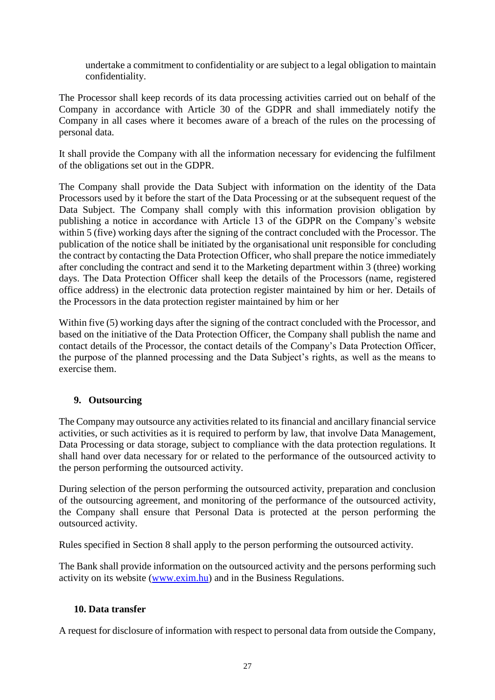undertake a commitment to confidentiality or are subject to a legal obligation to maintain confidentiality.

The Processor shall keep records of its data processing activities carried out on behalf of the Company in accordance with Article 30 of the GDPR and shall immediately notify the Company in all cases where it becomes aware of a breach of the rules on the processing of personal data.

It shall provide the Company with all the information necessary for evidencing the fulfilment of the obligations set out in the GDPR.

The Company shall provide the Data Subject with information on the identity of the Data Processors used by it before the start of the Data Processing or at the subsequent request of the Data Subject. The Company shall comply with this information provision obligation by publishing a notice in accordance with Article 13 of the GDPR on the Company's website within 5 (five) working days after the signing of the contract concluded with the Processor. The publication of the notice shall be initiated by the organisational unit responsible for concluding the contract by contacting the Data Protection Officer, who shall prepare the notice immediately after concluding the contract and send it to the Marketing department within 3 (three) working days. The Data Protection Officer shall keep the details of the Processors (name, registered office address) in the electronic data protection register maintained by him or her. Details of the Processors in the data protection register maintained by him or her

Within five (5) working days after the signing of the contract concluded with the Processor, and based on the initiative of the Data Protection Officer, the Company shall publish the name and contact details of the Processor, the contact details of the Company's Data Protection Officer, the purpose of the planned processing and the Data Subject's rights, as well as the means to exercise them.

#### <span id="page-27-0"></span>**9. Outsourcing**

The Company may outsource any activities related to its financial and ancillary financial service activities, or such activities as it is required to perform by law, that involve Data Management, Data Processing or data storage, subject to compliance with the data protection regulations. It shall hand over data necessary for or related to the performance of the outsourced activity to the person performing the outsourced activity.

During selection of the person performing the outsourced activity, preparation and conclusion of the outsourcing agreement, and monitoring of the performance of the outsourced activity, the Company shall ensure that Personal Data is protected at the person performing the outsourced activity.

Rules specified in Section 8 shall apply to the person performing the outsourced activity.

The Bank shall provide information on the outsourced activity and the persons performing such activity on its website [\(www.exim.hu\)](http://www.exim.hu/) and in the Business Regulations.

#### <span id="page-27-1"></span>**10. Data transfer**

A request for disclosure of information with respect to personal data from outside the Company,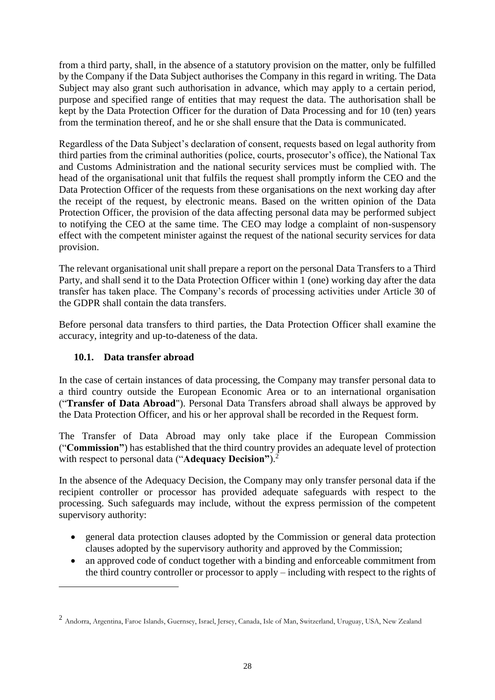from a third party, shall, in the absence of a statutory provision on the matter, only be fulfilled by the Company if the Data Subject authorises the Company in this regard in writing. The Data Subject may also grant such authorisation in advance, which may apply to a certain period, purpose and specified range of entities that may request the data. The authorisation shall be kept by the Data Protection Officer for the duration of Data Processing and for 10 (ten) years from the termination thereof, and he or she shall ensure that the Data is communicated.

Regardless of the Data Subject's declaration of consent, requests based on legal authority from third parties from the criminal authorities (police, courts, prosecutor's office), the National Tax and Customs Administration and the national security services must be complied with. The head of the organisational unit that fulfils the request shall promptly inform the CEO and the Data Protection Officer of the requests from these organisations on the next working day after the receipt of the request, by electronic means. Based on the written opinion of the Data Protection Officer, the provision of the data affecting personal data may be performed subject to notifying the CEO at the same time. The CEO may lodge a complaint of non-suspensory effect with the competent minister against the request of the national security services for data provision.

The relevant organisational unit shall prepare a report on the personal Data Transfers to a Third Party, and shall send it to the Data Protection Officer within 1 (one) working day after the data transfer has taken place. The Company's records of processing activities under Article 30 of the GDPR shall contain the data transfers.

Before personal data transfers to third parties, the Data Protection Officer shall examine the accuracy, integrity and up-to-dateness of the data.

# **10.1. Data transfer abroad**

 $\overline{a}$ 

In the case of certain instances of data processing, the Company may transfer personal data to a third country outside the European Economic Area or to an international organisation ("**Transfer of Data Abroad**"). Personal Data Transfers abroad shall always be approved by the Data Protection Officer, and his or her approval shall be recorded in the Request form.

The Transfer of Data Abroad may only take place if the European Commission ("**Commission"**) has established that the third country provides an adequate level of protection with respect to personal data ("**Adequacy Decision"**). 2

In the absence of the Adequacy Decision, the Company may only transfer personal data if the recipient controller or processor has provided adequate safeguards with respect to the processing. Such safeguards may include, without the express permission of the competent supervisory authority:

- general data protection clauses adopted by the Commission or general data protection clauses adopted by the supervisory authority and approved by the Commission;
- an approved code of conduct together with a binding and enforceable commitment from the third country controller or processor to apply – including with respect to the rights of

<sup>2</sup> Andorra, Argentina, Faroe Islands, Guernsey, Israel, Jersey, Canada, Isle of Man, Switzerland, Uruguay, USA, New Zealand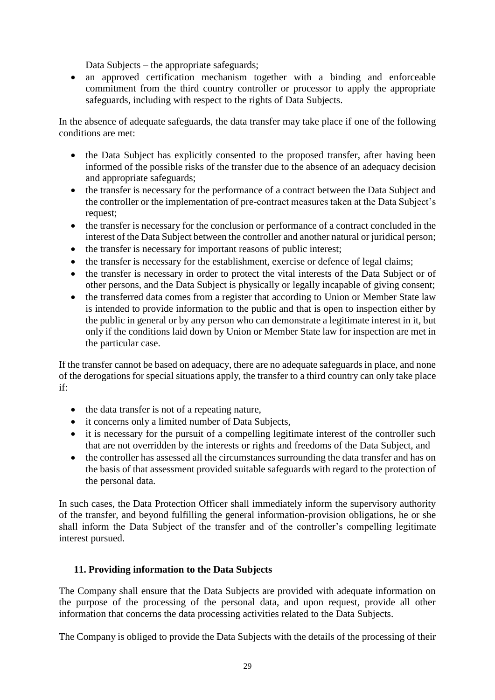Data Subjects – the appropriate safeguards;

• an approved certification mechanism together with a binding and enforceable commitment from the third country controller or processor to apply the appropriate safeguards, including with respect to the rights of Data Subjects.

In the absence of adequate safeguards, the data transfer may take place if one of the following conditions are met:

- the Data Subject has explicitly consented to the proposed transfer, after having been informed of the possible risks of the transfer due to the absence of an adequacy decision and appropriate safeguards;
- the transfer is necessary for the performance of a contract between the Data Subject and the controller or the implementation of pre-contract measures taken at the Data Subject's request;
- the transfer is necessary for the conclusion or performance of a contract concluded in the interest of the Data Subject between the controller and another natural or juridical person;
- the transfer is necessary for important reasons of public interest;
- the transfer is necessary for the establishment, exercise or defence of legal claims;
- the transfer is necessary in order to protect the vital interests of the Data Subject or of other persons, and the Data Subject is physically or legally incapable of giving consent;
- the transferred data comes from a register that according to Union or Member State law is intended to provide information to the public and that is open to inspection either by the public in general or by any person who can demonstrate a legitimate interest in it, but only if the conditions laid down by Union or Member State law for inspection are met in the particular case.

If the transfer cannot be based on adequacy, there are no adequate safeguards in place, and none of the derogations for special situations apply, the transfer to a third country can only take place if:

- the data transfer is not of a repeating nature,
- it concerns only a limited number of Data Subjects,
- it is necessary for the pursuit of a compelling legitimate interest of the controller such that are not overridden by the interests or rights and freedoms of the Data Subject, and
- the controller has assessed all the circumstances surrounding the data transfer and has on the basis of that assessment provided suitable safeguards with regard to the protection of the personal data.

In such cases, the Data Protection Officer shall immediately inform the supervisory authority of the transfer, and beyond fulfilling the general information-provision obligations, he or she shall inform the Data Subject of the transfer and of the controller's compelling legitimate interest pursued.

# <span id="page-29-0"></span>**11. Providing information to the Data Subjects**

The Company shall ensure that the Data Subjects are provided with adequate information on the purpose of the processing of the personal data, and upon request, provide all other information that concerns the data processing activities related to the Data Subjects.

The Company is obliged to provide the Data Subjects with the details of the processing of their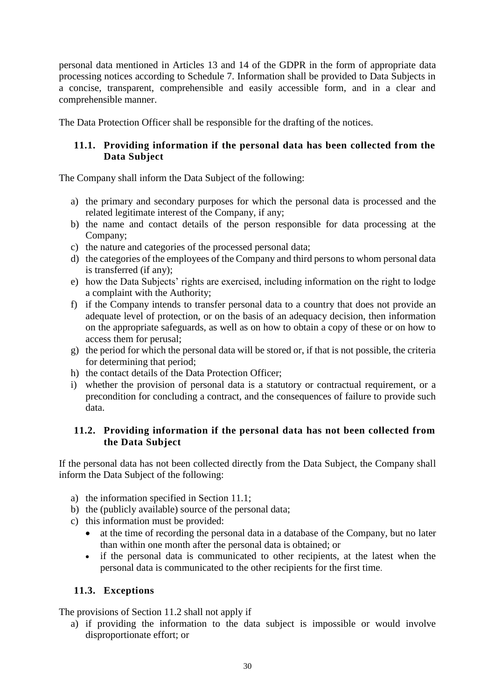personal data mentioned in Articles 13 and 14 of the GDPR in the form of appropriate data processing notices according to Schedule 7. Information shall be provided to Data Subjects in a concise, transparent, comprehensible and easily accessible form, and in a clear and comprehensible manner.

The Data Protection Officer shall be responsible for the drafting of the notices.

## <span id="page-30-0"></span>**11.1. Providing information if the personal data has been collected from the Data Subject**

The Company shall inform the Data Subject of the following:

- a) the primary and secondary purposes for which the personal data is processed and the related legitimate interest of the Company, if any;
- b) the name and contact details of the person responsible for data processing at the Company;
- c) the nature and categories of the processed personal data;
- d) the categories of the employees of the Company and third persons to whom personal data is transferred (if any);
- e) how the Data Subjects' rights are exercised, including information on the right to lodge a complaint with the Authority;
- f) if the Company intends to transfer personal data to a country that does not provide an adequate level of protection, or on the basis of an adequacy decision, then information on the appropriate safeguards, as well as on how to obtain a copy of these or on how to access them for perusal;
- g) the period for which the personal data will be stored or, if that is not possible, the criteria for determining that period;
- h) the contact details of the Data Protection Officer;
- i) whether the provision of personal data is a statutory or contractual requirement, or a precondition for concluding a contract, and the consequences of failure to provide such data.

## <span id="page-30-1"></span>**11.2. Providing information if the personal data has not been collected from the Data Subject**

If the personal data has not been collected directly from the Data Subject, the Company shall inform the Data Subject of the following:

- a) the information specified in Section 11.1;
- b) the (publicly available) source of the personal data;
- c) this information must be provided:
	- at the time of recording the personal data in a database of the Company, but no later than within one month after the personal data is obtained; or
	- if the personal data is communicated to other recipients, at the latest when the personal data is communicated to the other recipients for the first time.

# <span id="page-30-2"></span>**11.3. Exceptions**

The provisions of Section 11.2 shall not apply if

a) if providing the information to the data subject is impossible or would involve disproportionate effort; or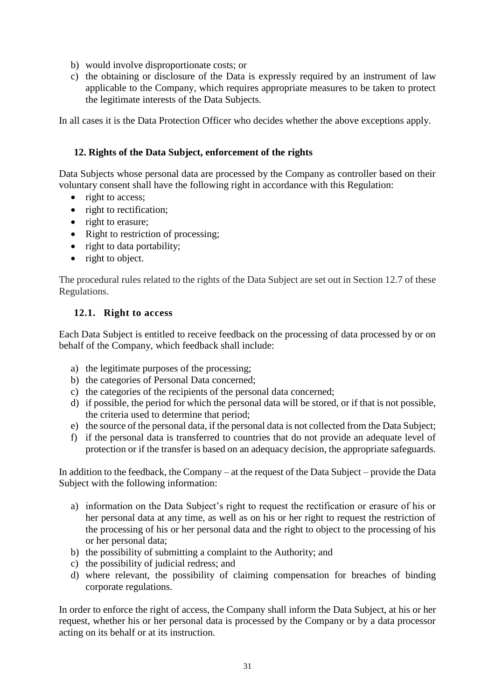- b) would involve disproportionate costs; or
- c) the obtaining or disclosure of the Data is expressly required by an instrument of law applicable to the Company, which requires appropriate measures to be taken to protect the legitimate interests of the Data Subjects.

In all cases it is the Data Protection Officer who decides whether the above exceptions apply.

#### <span id="page-31-0"></span>**12. Rights of the Data Subject, enforcement of the rights**

Data Subjects whose personal data are processed by the Company as controller based on their voluntary consent shall have the following right in accordance with this Regulation:

- right to access;
- right to rectification;
- right to erasure;
- Right to restriction of processing;
- right to data portability;
- right to object.

The procedural rules related to the rights of the Data Subject are set out in Section 12.7 of these Regulations.

#### <span id="page-31-1"></span>**12.1. Right to access**

Each Data Subject is entitled to receive feedback on the processing of data processed by or on behalf of the Company, which feedback shall include:

- a) the legitimate purposes of the processing;
- b) the categories of Personal Data concerned;
- c) the categories of the recipients of the personal data concerned;
- d) if possible, the period for which the personal data will be stored, or if that is not possible, the criteria used to determine that period;
- e) the source of the personal data, if the personal data is not collected from the Data Subject;
- f) if the personal data is transferred to countries that do not provide an adequate level of protection or if the transfer is based on an adequacy decision, the appropriate safeguards.

In addition to the feedback, the Company – at the request of the Data Subject – provide the Data Subject with the following information:

- a) information on the Data Subject's right to request the rectification or erasure of his or her personal data at any time, as well as on his or her right to request the restriction of the processing of his or her personal data and the right to object to the processing of his or her personal data;
- b) the possibility of submitting a complaint to the Authority; and
- c) the possibility of judicial redress; and
- d) where relevant, the possibility of claiming compensation for breaches of binding corporate regulations.

In order to enforce the right of access, the Company shall inform the Data Subject, at his or her request, whether his or her personal data is processed by the Company or by a data processor acting on its behalf or at its instruction.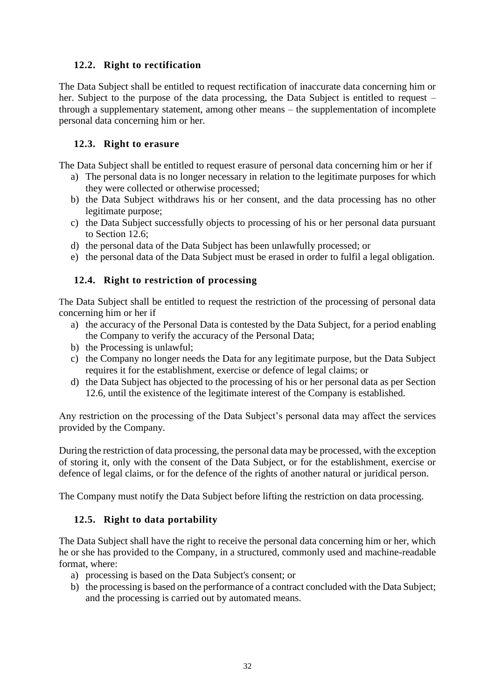# <span id="page-32-0"></span>**12.2. Right to rectification**

The Data Subject shall be entitled to request rectification of inaccurate data concerning him or her. Subject to the purpose of the data processing, the Data Subject is entitled to request – through a supplementary statement, among other means – the supplementation of incomplete personal data concerning him or her.

#### <span id="page-32-1"></span>**12.3. Right to erasure**

The Data Subject shall be entitled to request erasure of personal data concerning him or her if

- a) The personal data is no longer necessary in relation to the legitimate purposes for which they were collected or otherwise processed;
- b) the Data Subject withdraws his or her consent, and the data processing has no other legitimate purpose;
- c) the Data Subject successfully objects to processing of his or her personal data pursuant to Section 12.6;
- d) the personal data of the Data Subject has been unlawfully processed; or
- e) the personal data of the Data Subject must be erased in order to fulfil a legal obligation.

#### <span id="page-32-2"></span>**12.4. Right to restriction of processing**

The Data Subject shall be entitled to request the restriction of the processing of personal data concerning him or her if

- a) the accuracy of the Personal Data is contested by the Data Subject, for a period enabling the Company to verify the accuracy of the Personal Data;
- b) the Processing is unlawful;
- c) the Company no longer needs the Data for any legitimate purpose, but the Data Subject requires it for the establishment, exercise or defence of legal claims; or
- d) the Data Subject has objected to the processing of his or her personal data as per Section 12.6, until the existence of the legitimate interest of the Company is established.

Any restriction on the processing of the Data Subject's personal data may affect the services provided by the Company.

During the restriction of data processing, the personal data may be processed, with the exception of storing it, only with the consent of the Data Subject, or for the establishment, exercise or defence of legal claims, or for the defence of the rights of another natural or juridical person.

The Company must notify the Data Subject before lifting the restriction on data processing.

#### <span id="page-32-3"></span>**12.5. Right to data portability**

The Data Subject shall have the right to receive the personal data concerning him or her, which he or she has provided to the Company, in a structured, commonly used and machine-readable format, where:

- a) processing is based on the Data Subject's consent; or
- b) the processing is based on the performance of a contract concluded with the Data Subject; and the processing is carried out by automated means.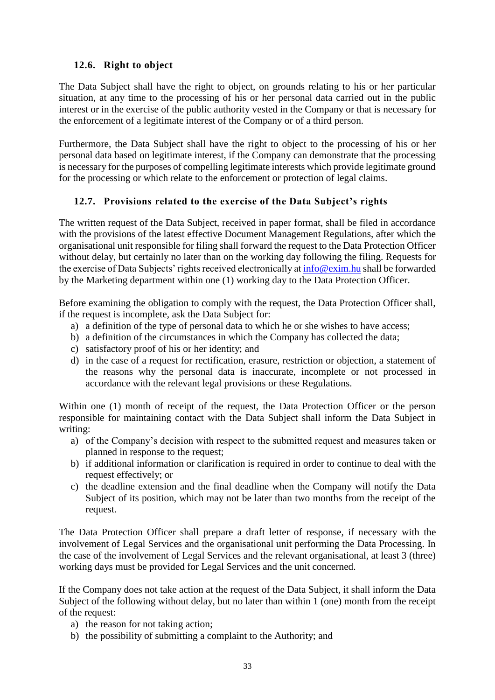## <span id="page-33-0"></span>**12.6. Right to object**

The Data Subject shall have the right to object, on grounds relating to his or her particular situation, at any time to the processing of his or her personal data carried out in the public interest or in the exercise of the public authority vested in the Company or that is necessary for the enforcement of a legitimate interest of the Company or of a third person.

Furthermore, the Data Subject shall have the right to object to the processing of his or her personal data based on legitimate interest, if the Company can demonstrate that the processing is necessary for the purposes of compelling legitimate interests which provide legitimate ground for the processing or which relate to the enforcement or protection of legal claims.

## <span id="page-33-1"></span>**12.7. Provisions related to the exercise of the Data Subject's rights**

The written request of the Data Subject, received in paper format, shall be filed in accordance with the provisions of the latest effective Document Management Regulations, after which the organisational unit responsible for filing shall forward the request to the Data Protection Officer without delay, but certainly no later than on the working day following the filing. Requests for the exercise of Data Subjects' rights received electronically at [info@exim.hu](mailto:info@exim.hu) shall be forwarded by the Marketing department within one (1) working day to the Data Protection Officer.

Before examining the obligation to comply with the request, the Data Protection Officer shall, if the request is incomplete, ask the Data Subject for:

- a) a definition of the type of personal data to which he or she wishes to have access;
- b) a definition of the circumstances in which the Company has collected the data;
- c) satisfactory proof of his or her identity; and
- d) in the case of a request for rectification, erasure, restriction or objection, a statement of the reasons why the personal data is inaccurate, incomplete or not processed in accordance with the relevant legal provisions or these Regulations.

Within one (1) month of receipt of the request, the Data Protection Officer or the person responsible for maintaining contact with the Data Subject shall inform the Data Subject in writing:

- a) of the Company's decision with respect to the submitted request and measures taken or planned in response to the request;
- b) if additional information or clarification is required in order to continue to deal with the request effectively; or
- c) the deadline extension and the final deadline when the Company will notify the Data Subject of its position, which may not be later than two months from the receipt of the request.

The Data Protection Officer shall prepare a draft letter of response, if necessary with the involvement of Legal Services and the organisational unit performing the Data Processing. In the case of the involvement of Legal Services and the relevant organisational, at least 3 (three) working days must be provided for Legal Services and the unit concerned.

If the Company does not take action at the request of the Data Subject, it shall inform the Data Subject of the following without delay, but no later than within 1 (one) month from the receipt of the request:

- a) the reason for not taking action;
- b) the possibility of submitting a complaint to the Authority; and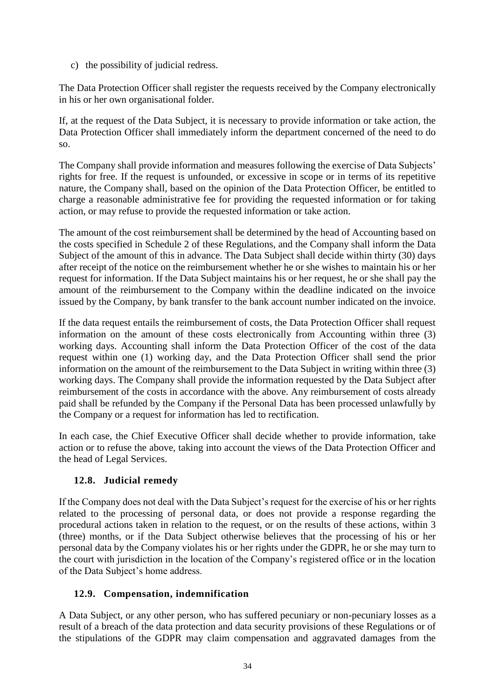c) the possibility of judicial redress.

The Data Protection Officer shall register the requests received by the Company electronically in his or her own organisational folder.

If, at the request of the Data Subject, it is necessary to provide information or take action, the Data Protection Officer shall immediately inform the department concerned of the need to do so.

The Company shall provide information and measures following the exercise of Data Subjects' rights for free. If the request is unfounded, or excessive in scope or in terms of its repetitive nature, the Company shall, based on the opinion of the Data Protection Officer, be entitled to charge a reasonable administrative fee for providing the requested information or for taking action, or may refuse to provide the requested information or take action.

The amount of the cost reimbursement shall be determined by the head of Accounting based on the costs specified in Schedule 2 of these Regulations, and the Company shall inform the Data Subject of the amount of this in advance. The Data Subject shall decide within thirty (30) days after receipt of the notice on the reimbursement whether he or she wishes to maintain his or her request for information. If the Data Subject maintains his or her request, he or she shall pay the amount of the reimbursement to the Company within the deadline indicated on the invoice issued by the Company, by bank transfer to the bank account number indicated on the invoice.

If the data request entails the reimbursement of costs, the Data Protection Officer shall request information on the amount of these costs electronically from Accounting within three (3) working days. Accounting shall inform the Data Protection Officer of the cost of the data request within one (1) working day, and the Data Protection Officer shall send the prior information on the amount of the reimbursement to the Data Subject in writing within three (3) working days. The Company shall provide the information requested by the Data Subject after reimbursement of the costs in accordance with the above. Any reimbursement of costs already paid shall be refunded by the Company if the Personal Data has been processed unlawfully by the Company or a request for information has led to rectification.

In each case, the Chief Executive Officer shall decide whether to provide information, take action or to refuse the above, taking into account the views of the Data Protection Officer and the head of Legal Services.

# <span id="page-34-0"></span>**12.8. Judicial remedy**

If the Company does not deal with the Data Subject's request for the exercise of his or her rights related to the processing of personal data, or does not provide a response regarding the procedural actions taken in relation to the request, or on the results of these actions, within 3 (three) months, or if the Data Subject otherwise believes that the processing of his or her personal data by the Company violates his or her rights under the GDPR, he or she may turn to the court with jurisdiction in the location of the Company's registered office or in the location of the Data Subject's home address.

# <span id="page-34-1"></span>**12.9. Compensation, indemnification**

A Data Subject, or any other person, who has suffered pecuniary or non-pecuniary losses as a result of a breach of the data protection and data security provisions of these Regulations or of the stipulations of the GDPR may claim compensation and aggravated damages from the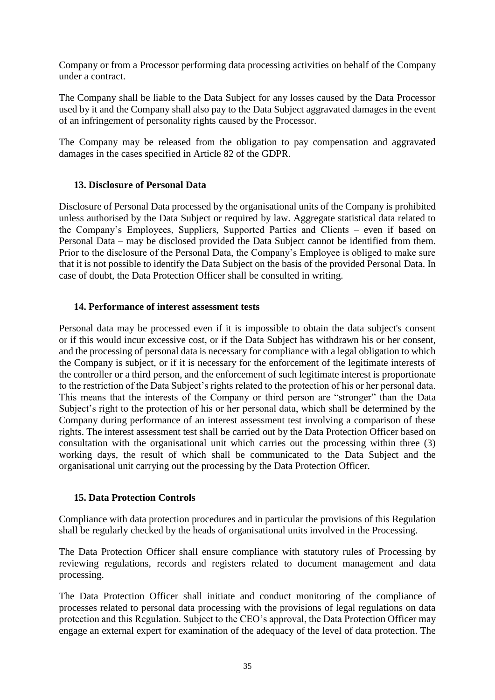Company or from a Processor performing data processing activities on behalf of the Company under a contract.

The Company shall be liable to the Data Subject for any losses caused by the Data Processor used by it and the Company shall also pay to the Data Subject aggravated damages in the event of an infringement of personality rights caused by the Processor.

The Company may be released from the obligation to pay compensation and aggravated damages in the cases specified in Article 82 of the GDPR.

#### <span id="page-35-0"></span>**13. Disclosure of Personal Data**

Disclosure of Personal Data processed by the organisational units of the Company is prohibited unless authorised by the Data Subject or required by law. Aggregate statistical data related to the Company's Employees, Suppliers, Supported Parties and Clients – even if based on Personal Data – may be disclosed provided the Data Subject cannot be identified from them. Prior to the disclosure of the Personal Data, the Company's Employee is obliged to make sure that it is not possible to identify the Data Subject on the basis of the provided Personal Data. In case of doubt, the Data Protection Officer shall be consulted in writing.

#### <span id="page-35-1"></span>**14. Performance of interest assessment tests**

Personal data may be processed even if it is impossible to obtain the data subject's consent or if this would incur excessive cost, or if the Data Subject has withdrawn his or her consent, and the processing of personal data is necessary for compliance with a legal obligation to which the Company is subject, or if it is necessary for the enforcement of the legitimate interests of the controller or a third person, and the enforcement of such legitimate interest is proportionate to the restriction of the Data Subject's rights related to the protection of his or her personal data. This means that the interests of the Company or third person are "stronger" than the Data Subject's right to the protection of his or her personal data, which shall be determined by the Company during performance of an interest assessment test involving a comparison of these rights. The interest assessment test shall be carried out by the Data Protection Officer based on consultation with the organisational unit which carries out the processing within three (3) working days, the result of which shall be communicated to the Data Subject and the organisational unit carrying out the processing by the Data Protection Officer.

#### <span id="page-35-2"></span>**15. Data Protection Controls**

Compliance with data protection procedures and in particular the provisions of this Regulation shall be regularly checked by the heads of organisational units involved in the Processing.

The Data Protection Officer shall ensure compliance with statutory rules of Processing by reviewing regulations, records and registers related to document management and data processing.

The Data Protection Officer shall initiate and conduct monitoring of the compliance of processes related to personal data processing with the provisions of legal regulations on data protection and this Regulation. Subject to the CEO's approval, the Data Protection Officer may engage an external expert for examination of the adequacy of the level of data protection. The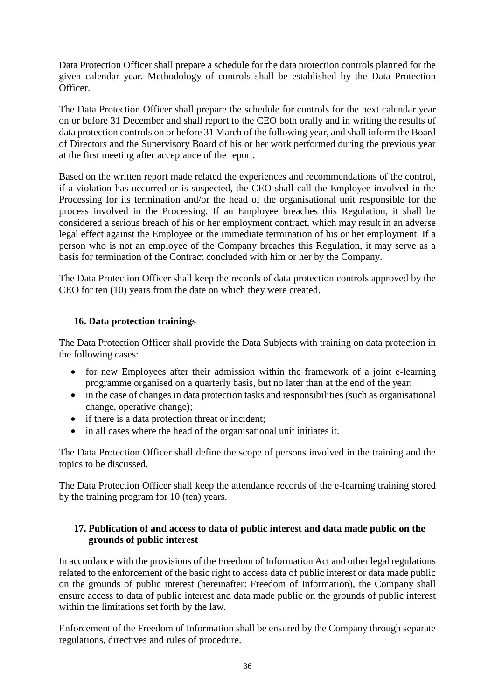Data Protection Officer shall prepare a schedule for the data protection controls planned for the given calendar year. Methodology of controls shall be established by the Data Protection Officer.

The Data Protection Officer shall prepare the schedule for controls for the next calendar year on or before 31 December and shall report to the CEO both orally and in writing the results of data protection controls on or before 31 March of the following year, and shall inform the Board of Directors and the Supervisory Board of his or her work performed during the previous year at the first meeting after acceptance of the report.

Based on the written report made related the experiences and recommendations of the control, if a violation has occurred or is suspected, the CEO shall call the Employee involved in the Processing for its termination and/or the head of the organisational unit responsible for the process involved in the Processing. If an Employee breaches this Regulation, it shall be considered a serious breach of his or her employment contract, which may result in an adverse legal effect against the Employee or the immediate termination of his or her employment. If a person who is not an employee of the Company breaches this Regulation, it may serve as a basis for termination of the Contract concluded with him or her by the Company.

The Data Protection Officer shall keep the records of data protection controls approved by the CEO for ten (10) years from the date on which they were created.

## <span id="page-36-0"></span>**16. Data protection trainings**

The Data Protection Officer shall provide the Data Subjects with training on data protection in the following cases:

- for new Employees after their admission within the framework of a joint e-learning programme organised on a quarterly basis, but no later than at the end of the year;
- in the case of changes in data protection tasks and responsibilities (such as organisational change, operative change);
- if there is a data protection threat or incident;
- in all cases where the head of the organisational unit initiates it.

The Data Protection Officer shall define the scope of persons involved in the training and the topics to be discussed.

The Data Protection Officer shall keep the attendance records of the e-learning training stored by the training program for 10 (ten) years.

#### <span id="page-36-1"></span>**17. Publication of and access to data of public interest and data made public on the grounds of public interest**

In accordance with the provisions of the Freedom of Information Act and other legal regulations related to the enforcement of the basic right to access data of public interest or data made public on the grounds of public interest (hereinafter: Freedom of Information), the Company shall ensure access to data of public interest and data made public on the grounds of public interest within the limitations set forth by the law.

Enforcement of the Freedom of Information shall be ensured by the Company through separate regulations, directives and rules of procedure.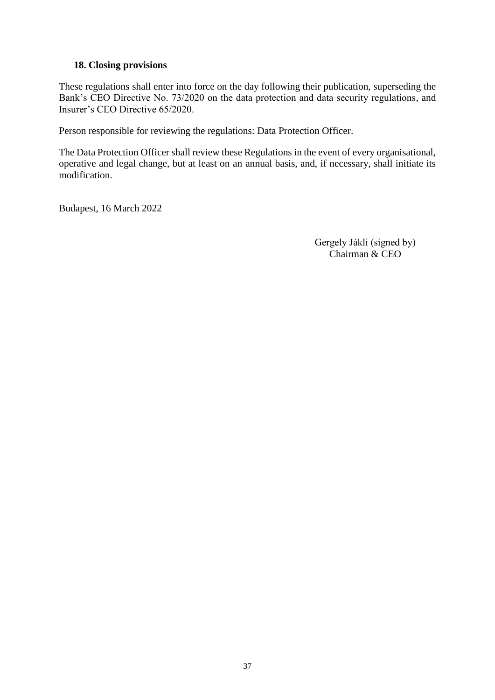#### <span id="page-37-0"></span>**18. Closing provisions**

These regulations shall enter into force on the day following their publication, superseding the Bank's CEO Directive No. 73/2020 on the data protection and data security regulations, and Insurer's CEO Directive 65/2020.

Person responsible for reviewing the regulations: Data Protection Officer.

The Data Protection Officer shall review these Regulations in the event of every organisational, operative and legal change, but at least on an annual basis, and, if necessary, shall initiate its modification.

Budapest, 16 March 2022

Gergely Jákli (signed by) Chairman & CEO